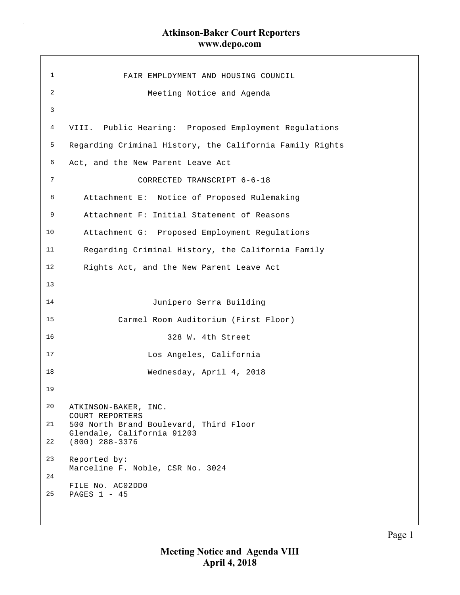$\bar{z}$ 

| $\mathbf 1$ | FAIR EMPLOYMENT AND HOUSING COUNCIL                                  |
|-------------|----------------------------------------------------------------------|
| 2           | Meeting Notice and Agenda                                            |
| 3           |                                                                      |
| 4           | VIII. Public Hearing: Proposed Employment Regulations                |
| 5           | Regarding Criminal History, the California Family Rights             |
| 6           | Act, and the New Parent Leave Act                                    |
| 7           | CORRECTED TRANSCRIPT 6-6-18                                          |
| 8           | Attachment E: Notice of Proposed Rulemaking                          |
| 9           | Attachment F: Initial Statement of Reasons                           |
| 10          | Attachment G: Proposed Employment Regulations                        |
| 11          | Regarding Criminal History, the California Family                    |
| 12          | Rights Act, and the New Parent Leave Act                             |
| 13          |                                                                      |
| 14          | Junipero Serra Building                                              |
| 15          | Carmel Room Auditorium (First Floor)                                 |
| 16          | 328 W. 4th Street                                                    |
| 17          | Los Angeles, California                                              |
| 18          | Wednesday, April 4, 2018                                             |
| 19          |                                                                      |
| 20          | ATKINSON-BAKER, INC.<br>COURT REPORTERS                              |
| 21          | 500 North Brand Boulevard, Third Floor<br>Glendale, California 91203 |
| 22          | $(800)$ 288-3376                                                     |
| 23          | Reported by:<br>Marceline F. Noble, CSR No. 3024                     |
| 24          | FILE No. AC02DD0                                                     |
| 25          | PAGES 1 - 45                                                         |
|             |                                                                      |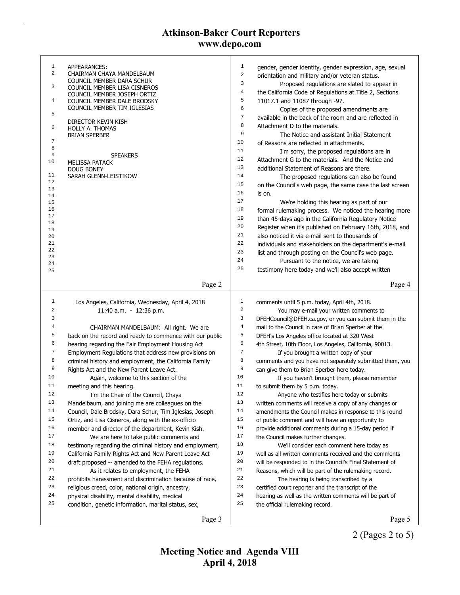| $\mathbf{1}$        | APPEARANCES:                                             | $1\,$          | gender, gender identity, gender expression, age, sexual  |
|---------------------|----------------------------------------------------------|----------------|----------------------------------------------------------|
| $\overline{a}$      | CHAIRMAN CHAYA MANDELBAUM<br>COUNCIL MEMBER DARA SCHUR   | 2              | orientation and military and/or veteran status.          |
| 3                   | COUNCIL MEMBER LISA CISNEROS                             | 3              | Proposed regulations are slated to appear in             |
|                     | COUNCIL MEMBER JOSEPH ORTIZ                              | 4              | the California Code of Regulations at Title 2, Sections  |
| 4                   | COUNCIL MEMBER DALE BRODSKY                              | 5              | 11017.1 and 11087 through -97.                           |
| 5                   | COUNCIL MEMBER TIM IGLESIAS                              | 6              | Copies of the proposed amendments are                    |
|                     | DIRECTOR KEVIN KISH                                      | 7              | available in the back of the room and are reflected in   |
| 6                   | <b>HOLLY A. THOMAS</b>                                   | 8              | Attachment D to the materials.                           |
|                     | <b>BRIAN SPERBER</b>                                     | 9              | The Notice and assistant Initial Statement               |
| $\overline{7}$<br>8 |                                                          | 10             | of Reasons are reflected in attachments.                 |
| 9                   | <b>SPEAKERS</b>                                          | 11             | I'm sorry, the proposed regulations are in               |
| 10                  | MELISSA PATACK                                           | 12             | Attachment G to the materials. And the Notice and        |
|                     | <b>DOUG BONEY</b>                                        | 13             | additional Statement of Reasons are there.               |
| 11                  | SARAH GLENN-LEISTIKOW                                    | 14             | The proposed regulations can also be found               |
| 12<br>13            |                                                          | 15             | on the Council's web page, the same case the last screen |
| 14                  |                                                          | 16             | is on.                                                   |
| 15                  |                                                          | 17             | We're holding this hearing as part of our                |
| 16                  |                                                          | 18             | formal rulemaking process. We noticed the hearing more   |
| 17<br>18            |                                                          | 19             | than 45-days ago in the California Regulatory Notice     |
| 19                  |                                                          | 20             | Register when it's published on February 16th, 2018, and |
| 20                  |                                                          | 21             | also noticed it via e-mail sent to thousands of          |
| 21                  |                                                          | 22             | individuals and stakeholders on the department's e-mail  |
| 22                  |                                                          | 23             | list and through posting on the Council's web page.      |
| 23<br>24            |                                                          | 24             | Pursuant to the notice, we are taking                    |
| 25                  |                                                          | 25             | testimony here today and we'll also accept written       |
|                     |                                                          |                |                                                          |
|                     | Page 2                                                   |                | Page 4                                                   |
|                     |                                                          |                |                                                          |
|                     |                                                          |                |                                                          |
| $\mathbf{1}$        | Los Angeles, California, Wednesday, April 4, 2018        | 1              | comments until 5 p.m. today, April 4th, 2018.            |
| 2                   | 11:40 a.m. - 12:36 p.m.                                  | $\sqrt{2}$     | You may e-mail your written comments to                  |
| 3                   |                                                          | $\mathsf 3$    | DFEHCouncil@DFEH.ca.gov, or you can submit them in the   |
| 4                   | CHAIRMAN MANDELBAUM: All right. We are                   | $\overline{4}$ | mail to the Council in care of Brian Sperber at the      |
| 5                   | back on the record and ready to commence with our public | 5              | DFEH's Los Angeles office located at 320 West            |
| 6                   | hearing regarding the Fair Employment Housing Act        | 6              | 4th Street, 10th Floor, Los Angeles, California, 90013.  |
| 7                   | Employment Regulations that address new provisions on    | $\sqrt{ }$     | If you brought a written copy of your                    |
| 8                   | criminal history and employment, the California Family   | 8              | comments and you have not separately submitted them, you |
| 9                   | Rights Act and the New Parent Leave Act.                 | 9              | can give them to Brian Sperber here today.               |
| 10                  | Again, welcome to this section of the                    | $10$           | If you haven't brought them, please remember             |
| 11                  | meeting and this hearing.                                | 11             | to submit them by 5 p.m. today.                          |
| 12                  | I'm the Chair of the Council, Chaya                      | 12             | Anyone who testifies here today or submits               |
| 13                  | Mandelbaum, and joining me are colleagues on the         | 13             | written comments will receive a copy of any changes or   |
| 14                  | Council, Dale Brodsky, Dara Schur, Tim Iglesias, Joseph  | 14             | amendments the Council makes in response to this round   |
| 15                  | Ortiz, and Lisa Cisneros, along with the ex-officio      | 15             | of public comment and will have an opportunity to        |
| 16                  | member and director of the department, Kevin Kish.       | 16             | provide additional comments during a 15-day period if    |
| $17\,$              | We are here to take public comments and                  | $17$           | the Council makes further changes.                       |
| 18                  | testimony regarding the criminal history and employment, | 18             | We'll consider each comment here today as                |
| 19                  | California Family Rights Act and New Parent Leave Act    | 19             | well as all written comments received and the comments   |
| 20                  | draft proposed -- amended to the FEHA regulations.       | 20             | will be responded to in the Council's Final Statement of |
| 21                  | As it relates to employment, the FEHA                    | 21             | Reasons, which will be part of the rulemaking record.    |
| 22                  | prohibits harassment and discrimination because of race, | 22             | The hearing is being transcribed by a                    |
| 23                  | religious creed, color, national origin, ancestry,       | 23             | certified court reporter and the transcript of the       |
| 24                  | physical disability, mental disability, medical          | 24             | hearing as well as the written comments will be part of  |
| 25                  | condition, genetic information, marital status, sex,     | 25             | the official rulemaking record.                          |

2 (Pages 2 to 5)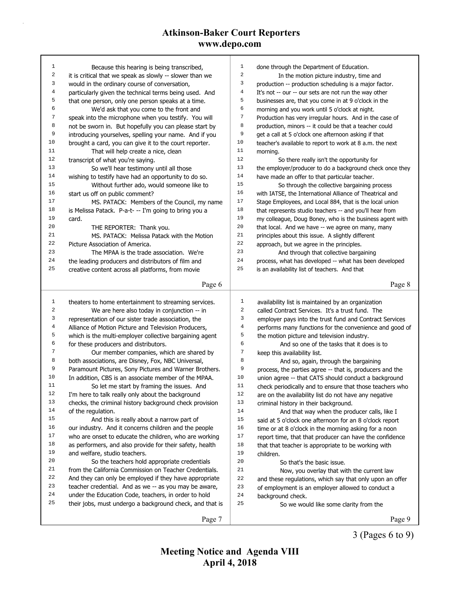| 25               | their jobs, must undergo a background check, and that is | 25                      | So we would like some clarity from the                   |
|------------------|----------------------------------------------------------|-------------------------|----------------------------------------------------------|
|                  |                                                          |                         |                                                          |
|                  |                                                          |                         |                                                          |
| 24               | under the Education Code, teachers, in order to hold     | 24                      | background check.                                        |
| 23               | teacher credential. And as we -- as you may be aware,    | 23                      | of employment is an employer allowed to conduct a        |
| 22               | And they can only be employed if they have appropriate   | 22                      | and these regulations, which say that only upon an offer |
| 21               | from the California Commission on Teacher Credentials.   | 21                      | Now, you overlay that with the current law               |
| 20               | So the teachers hold appropriate credentials             | 20                      | So that's the basic issue.                               |
| 19               | and welfare, studio teachers.                            | 19                      | children.                                                |
| 18               | as performers, and also provide for their safety, health | 18                      | that that teacher is appropriate to be working with      |
| 17               | who are onset to educate the children, who are working   | 17                      | report time, that that producer can have the confidence  |
| 16               | our industry. And it concerns children and the people    | 16                      | time or at 8 o'clock in the morning asking for a noon    |
| 15               | And this is really about a narrow part of                | 15                      | said at 5 o'clock one afternoon for an 8 o'clock report  |
| 14               | of the regulation.                                       | 14                      | And that way when the producer calls, like I             |
| 13               | checks, the criminal history background check provision  | 13                      | criminal history in their background.                    |
| 12               | I'm here to talk really only about the background        | 12                      | are on the availability list do not have any negative    |
| 11               | So let me start by framing the issues. And               | 11                      | check periodically and to ensure that those teachers who |
| 10               | In addition, CBS is an associate member of the MPAA.     | 10                      | union agree -- that CATS should conduct a background     |
| 9                | Paramount Pictures, Sony Pictures and Warner Brothers.   | 9                       | process, the parties agree -- that is, producers and the |
| 8                | both associations, are Disney, Fox, NBC Universal,       | 8                       | And so, again, through the bargaining                    |
| 7                | Our member companies, which are shared by                | 7                       | keep this availability list.                             |
| 6                | for these producers and distributors.                    | 6                       | And so one of the tasks that it does is to               |
| 5                | which is the multi-employer collective bargaining agent  | 5                       | the motion picture and television industry.              |
| 4                | Alliance of Motion Picture and Television Producers,     | $\bf 4$                 | performs many functions for the convenience and good of  |
| 3                | representation of our sister trade association, the      | 3                       | employer pays into the trust fund and Contract Services  |
| 2                | We are here also today in conjunction -- in              | $\sqrt{2}$              | called Contract Services. It's a trust fund. The         |
| $\mathbf{1}$     | theaters to home entertainment to streaming services.    | 1                       | availability list is maintained by an organization       |
|                  |                                                          |                         |                                                          |
|                  | Page 6                                                   |                         | Page 8                                                   |
| 25               | creative content across all platforms, from movie        | 25                      | is an availability list of teachers. And that            |
| 24               | the leading producers and distributors of film and       | 24                      | process, what has developed -- what has been developed   |
| 23               | The MPAA is the trade association. We're                 | 23                      | And through that collective bargaining                   |
| 22               | Picture Association of America.                          | 22                      | approach, but we agree in the principles.                |
| 21               | MS. PATACK: Melissa Patack with the Motion               | 21                      | principles about this issue. A slightly different        |
| 20               | THE REPORTER: Thank you.                                 | $20$                    | that local. And we have -- we agree on many, many        |
| 19               | card.                                                    | 19                      | my colleague, Doug Boney, who is the business agent with |
| 18               | is Melissa Patack. P-a-t- -- I'm going to bring you a    | 18                      | that represents studio teachers -- and you'll hear from  |
| 17               | MS. PATACK: Members of the Council, my name              | $17$                    | Stage Employees, and Local 884, that is the local union  |
| 16               | start us off on public comment?                          | 16                      | with IATSE, the International Alliance of Theatrical and |
| 15               | Without further ado, would someone like to               | 15                      | So through the collective bargaining process             |
| 14               | wishing to testify have had an opportunity to do so.     | 14                      | have made an offer to that particular teacher.           |
| 13               | So we'll hear testimony until all those                  | 13                      | the employer/producer to do a background check once they |
| 12               | transcript of what you're saying.                        | $1\,2$                  | So there really isn't the opportunity for                |
| 11               | That will help create a nice, clean                      | 11                      | morning.                                                 |
| 10               | brought a card, you can give it to the court reporter.   | 10                      | teacher's available to report to work at 8 a.m. the next |
| 9                | introducing yourselves, spelling your name. And if you   | 9                       | get a call at 5 o'clock one afternoon asking if that     |
| 8                | not be sworn in. But hopefully you can please start by   | 8                       | production, minors -- it could be that a teacher could   |
| 7                | speak into the microphone when you testify. You will     | $\boldsymbol{7}$        | Production has very irregular hours. And in the case of  |
| 6                | We'd ask that you come to the front and                  | 6                       | morning and you work until 5 o'clock at night.           |
| 5                | that one person, only one person speaks at a time.       | 5                       | businesses are, that you come in at 9 o'clock in the     |
| $\overline{4}$   | particularly given the technical terms being used. And   | $\,4$                   | It's not -- our -- our sets are not run the way other    |
| 3                | would in the ordinary course of conversation,            | 3                       | production -- production scheduling is a major factor.   |
| $\boldsymbol{2}$ | it is critical that we speak as slowly -- slower than we | $\overline{\mathbf{c}}$ | In the motion picture industry, time and                 |
| $\mathbf{1}$     | Because this hearing is being transcribed,               | $\mathbf 1$             | done through the Department of Education.                |
|                  |                                                          |                         |                                                          |

3 (Pages 6 to 9)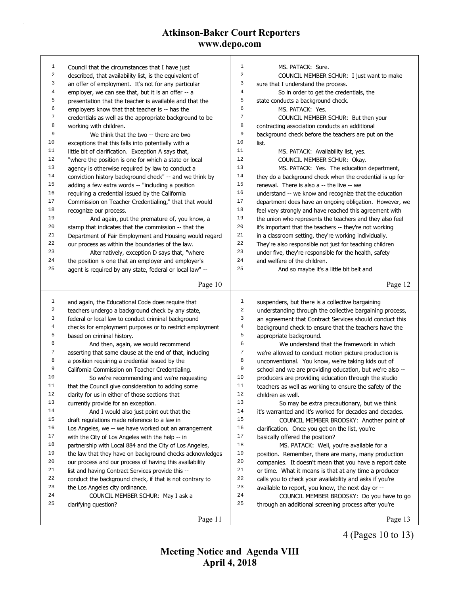| 1                |                                                                                                                | 1                |                                                                                                       |
|------------------|----------------------------------------------------------------------------------------------------------------|------------------|-------------------------------------------------------------------------------------------------------|
| $\sqrt{2}$       | Council that the circumstances that I have just                                                                | $\overline{2}$   | MS. PATACK: Sure.<br>COUNCIL MEMBER SCHUR: I just want to make                                        |
| 3                | described, that availability list, is the equivalent of<br>an offer of employment. It's not for any particular | 3                |                                                                                                       |
| 4                |                                                                                                                | $\overline{4}$   | sure that I understand the process.                                                                   |
| 5                | employer, we can see that, but it is an offer -- a<br>presentation that the teacher is available and that the  | 5                | So in order to get the credentials, the<br>state conducts a background check.                         |
| 6                | employers know that that teacher is -- has the                                                                 | 6                | MS. PATACK: Yes.                                                                                      |
| 7                | credentials as well as the appropriate background to be                                                        | $\boldsymbol{7}$ | COUNCIL MEMBER SCHUR: But then your                                                                   |
| 8                | working with children.                                                                                         | 8                |                                                                                                       |
| 9                | We think that the two -- there are two                                                                         | 9                | contracting association conducts an additional<br>background check before the teachers are put on the |
| 10               | exceptions that this falls into potentially with a                                                             | 10               | list.                                                                                                 |
| 11               | little bit of clarification. Exception A says that,                                                            | 11               | MS. PATACK: Availability list, yes.                                                                   |
| 12               | "where the position is one for which a state or local                                                          | 12               | COUNCIL MEMBER SCHUR: Okay.                                                                           |
| 13               | agency is otherwise required by law to conduct a                                                               | 13               | MS. PATACK: Yes. The education department,                                                            |
| 14               | conviction history background check" -- and we think by                                                        | 14               | they do a background check when the credential is up for                                              |
| 15               | adding a few extra words -- "including a position                                                              | $15$             | renewal. There is also a -- the live -- we                                                            |
| 16               | requiring a credential issued by the California                                                                | 16               | understand -- we know and recognize that the education                                                |
| 17               | Commission on Teacher Credentialing," that that would                                                          | 17               | department does have an ongoing obligation. However, we                                               |
| 18               | recognize our process.                                                                                         | 18               | feel very strongly and have reached this agreement with                                               |
| 19               | And again, put the premature of, you know, a                                                                   | 19               | the union who represents the teachers and they also feel                                              |
| 20               | stamp that indicates that the commission -- that the                                                           | 20               | it's important that the teachers -- they're not working                                               |
| 21               | Department of Fair Employment and Housing would regard                                                         | 21               | in a classroom setting, they're working individually.                                                 |
| 22               | our process as within the boundaries of the law.                                                               | 22               | They're also responsible not just for teaching children                                               |
| 23               | Alternatively, exception D says that, "where                                                                   | 23               | under five, they're responsible for the health, safety                                                |
| 24               | the position is one that an employer and employer's                                                            | 24               | and welfare of the children.                                                                          |
| 25               | agent is required by any state, federal or local law" --                                                       | 25               | And so maybe it's a little bit belt and                                                               |
|                  |                                                                                                                |                  |                                                                                                       |
|                  | Page 10                                                                                                        |                  | Page 12                                                                                               |
|                  |                                                                                                                |                  |                                                                                                       |
|                  |                                                                                                                |                  |                                                                                                       |
| $\mathbf{1}$     | and again, the Educational Code does require that                                                              | $\mathbf{1}$     | suspenders, but there is a collective bargaining                                                      |
| 2                | teachers undergo a background check by any state,                                                              | 2                | understanding through the collective bargaining process,                                              |
| 3                | federal or local law to conduct criminal background                                                            | 3                | an agreement that Contract Services should conduct this                                               |
| $\overline{4}$   | checks for employment purposes or to restrict employment                                                       | 4                | background check to ensure that the teachers have the                                                 |
| 5<br>6           | based on criminal history.                                                                                     | 5<br>6           | appropriate background.                                                                               |
|                  | And then, again, we would recommend                                                                            |                  | We understand that the framework in which                                                             |
| $\boldsymbol{7}$ | asserting that same clause at the end of that, including                                                       | 7                | we're allowed to conduct motion picture production is                                                 |
| 8                | a position requiring a credential issued by the                                                                | 8                | unconventional. You know, we're taking kids out of                                                    |
| 9<br>10          | California Commission on Teacher Credentialing.                                                                | 9                | school and we are providing education, but we're also --                                              |
| 11               | So we're recommending and we're requesting                                                                     | 10<br>11         | producers are providing education through the studio                                                  |
| 12               | that the Council give consideration to adding some                                                             | 12               | teachers as well as working to ensure the safety of the                                               |
| 13               | clarity for us in either of those sections that                                                                | 13               | children as well.                                                                                     |
| 14               | currently provide for an exception.                                                                            |                  | So may be extra precautionary, but we think                                                           |
| 15               | And I would also just point out that the                                                                       | 14<br>15         | it's warranted and it's worked for decades and decades.                                               |
| 16               | draft regulations made reference to a law in                                                                   | 16               | COUNCIL MEMBER BRODSKY: Another point of                                                              |
| 17               | Los Angeles, we -- we have worked out an arrangement                                                           | $17$             | clarification. Once you get on the list, you're                                                       |
| 18               | with the City of Los Angeles with the help -- in                                                               | 18               | basically offered the position?                                                                       |
| 19               | partnership with Local 884 and the City of Los Angeles,                                                        | 19               | MS. PATACK: Well, you're available for a                                                              |
| 20               | the law that they have on background checks acknowledges                                                       | 20               | position. Remember, there are many, many production                                                   |
| 21               | our process and our process of having this availability                                                        | 21               | companies. It doesn't mean that you have a report date                                                |
| 22               | list and having Contract Services provide this --                                                              | 22               | or time. What it means is that at any time a producer                                                 |
| 23               | conduct the background check, if that is not contrary to<br>the Los Angeles city ordinance.                    | 23               | calls you to check your availability and asks if you're                                               |
| 24               | COUNCIL MEMBER SCHUR: May I ask a                                                                              | 24               | available to report, you know, the next day or --<br>COUNCIL MEMBER BRODSKY: Do you have to go        |
| 25               | clarifying question?                                                                                           | 25               | through an additional screening process after you're                                                  |
|                  | Page 11                                                                                                        |                  | Page 13                                                                                               |

4 (Pages 10 to 13)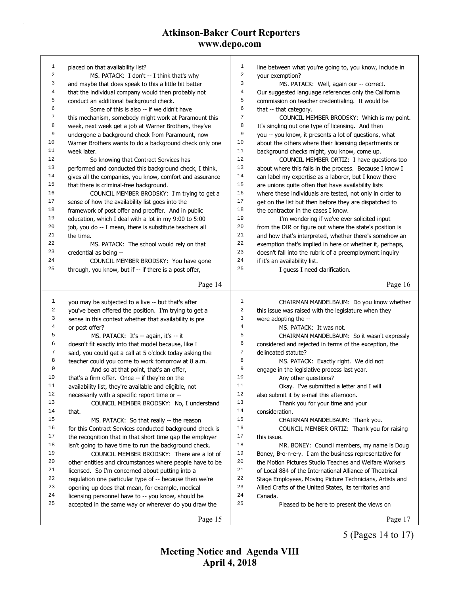| $\mathbf{1}$   | placed on that availability list?                        | $\mathbf{1}$   | line between what you're going to, you know, include in  |
|----------------|----------------------------------------------------------|----------------|----------------------------------------------------------|
| 2              | MS. PATACK: I don't -- I think that's why                | $\overline{a}$ | your exemption?                                          |
| 3              | and maybe that does speak to this a little bit better    | 3              | MS. PATACK: Well, again our -- correct.                  |
| 4              | that the individual company would then probably not      | $\overline{4}$ | Our suggested language references only the California    |
| 5              | conduct an additional background check.                  | 5              | commission on teacher credentialing. It would be         |
| 6              | Some of this is also -- if we didn't have                | $\epsilon$     | that -- that category.                                   |
| 7              | this mechanism, somebody might work at Paramount this    | $\overline{7}$ | COUNCIL MEMBER BRODSKY: Which is my point.               |
| 8              | week, next week get a job at Warner Brothers, they've    | 8              | It's singling out one type of licensing. And then        |
| 9              | undergone a background check from Paramount, now         | 9              | you -- you know, it presents a lot of questions, what    |
| 10             | Warner Brothers wants to do a background check only one  | 10             | about the others where their licensing departments or    |
| 11             | week later.                                              | 11             | background checks might, you know, come up.              |
| 12             | So knowing that Contract Services has                    | 12             | COUNCIL MEMBER ORTIZ: I have questions too               |
| 13             | performed and conducted this background check, I think,  | 13             | about where this falls in the process. Because I know I  |
| 14             | gives all the companies, you know, comfort and assurance | 14             | can label my expertise as a laborer, but I know there    |
| 15             | that there is criminal-free background.                  | 15             | are unions quite often that have availability lists      |
| 16             | COUNCIL MEMBER BRODSKY: I'm trying to get a              | 16             | where these individuals are tested, not only in order to |
| 17             | sense of how the availability list goes into the         | 17             | get on the list but then before they are dispatched to   |
| 18             | framework of post offer and preoffer. And in public      | 18             | the contractor in the cases I know.                      |
| 19             | education, which I deal with a lot in my 9:00 to 5:00    | 19             | I'm wondering if we've ever solicited input              |
| 20             | job, you do -- I mean, there is substitute teachers all  | 20             | from the DIR or figure out where the state's position is |
| 21             | the time.                                                | 21             | and how that's interpreted, whether there's somehow an   |
| 22             | MS. PATACK: The school would rely on that                | 22             | exemption that's implied in here or whether it, perhaps, |
| 23             | credential as being --                                   | 23             | doesn't fall into the rubric of a preemployment inquiry  |
| 24             | COUNCIL MEMBER BRODSKY: You have gone                    | 24             | if it's an availability list.                            |
| 25             | through, you know, but if -- if there is a post offer,   | 25             | I guess I need clarification.                            |
|                |                                                          |                |                                                          |
|                | Page 14                                                  |                | Page 16                                                  |
|                |                                                          |                |                                                          |
|                |                                                          |                |                                                          |
| 1              | you may be subjected to a live -- but that's after       | $1\,$          | CHAIRMAN MANDELBAUM: Do you know whether                 |
| 2              | you've been offered the position. I'm trying to get a    | $\sqrt{2}$     | this issue was raised with the legislature when they     |
| 3              | sense in this context whether that availability is pre   | 3              | were adopting the --                                     |
| $\overline{4}$ | or post offer?                                           | $\overline{4}$ | MS. PATACK: It was not.                                  |
| 5              | MS. PATACK: It's -- again, it's -- it                    | 5              | CHAIRMAN MANDELBAUM: So it wasn't expressly              |
| 6              | doesn't fit exactly into that model because, like I      | 6              | considered and rejected in terms of the exception, the   |
| 7              | said, you could get a call at 5 o'clock today asking the | $\sqrt{ }$     | delineated statute?                                      |
| 8              | teacher could you come to work tomorrow at 8 a.m.        | 8              | MS. PATACK: Exactly right. We did not                    |
| 9              | And so at that point, that's an offer,                   | 9              | engage in the legislative process last year.             |
| 10             | that's a firm offer. Once -- if they're on the           | 10             | Any other questions?                                     |
| 11             | availability list, they're available and eligible, not   | 11             | Okay. I've submitted a letter and I will                 |
| 12             | necessarily with a specific report time or --            | 12             | also submit it by e-mail this afternoon.                 |
| 13             | COUNCIL MEMBER BRODSKY: No, I understand                 | 13             | Thank you for your time and your                         |
| 14             | that.                                                    | 14             | consideration.                                           |
| 15             | MS. PATACK: So that really -- the reason                 | 15             | CHAIRMAN MANDELBAUM: Thank you.                          |
| 16             | for this Contract Services conducted background check is | 16             | COUNCIL MEMBER ORTIZ: Thank you for raising              |
| 17             | the recognition that in that short time gap the employer | 17             | this issue.                                              |
| 18             | isn't going to have time to run the background check.    | 18             | MR. BONEY: Council members, my name is Doug              |
| 19             | COUNCIL MEMBER BRODSKY: There are a lot of               | 19             | Boney, B-o-n-e-y. I am the business representative for   |
| 20             | other entities and circumstances where people have to be | 20             | the Motion Pictures Studio Teaches and Welfare Workers   |
| 21             | licensed. So I'm concerned about putting into a          | 21             | of Local 884 of the International Alliance of Theatrical |
| 22             | regulation one particular type of -- because then we're  | 22             | Stage Employees, Moving Picture Technicians, Artists and |
| 23             | opening up does that mean, for example, medical          | 23             | Allied Crafts of the United States, its territories and  |
| 24             | licensing personnel have to -- you know, should be       | 24             | Canada.                                                  |
| 25             | accepted in the same way or wherever do you draw the     | 25             | Pleased to be here to present the views on               |
|                | Page 15                                                  |                | Page 17                                                  |

5 (Pages 14 to 17)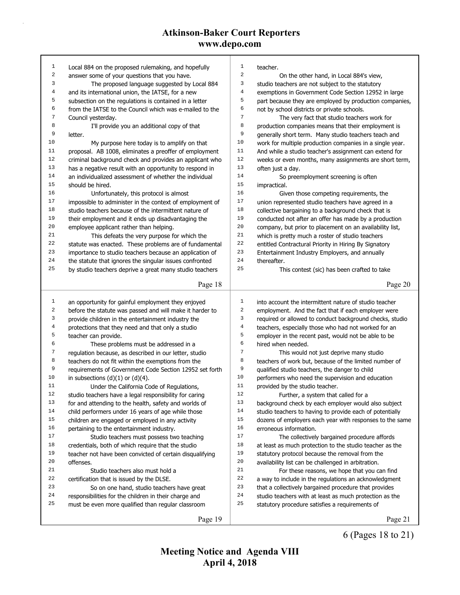| $\mathbf{1}$ | Local 884 on the proposed rulemaking, and hopefully           | $\mathbf{1}$   | teacher.                                                   |
|--------------|---------------------------------------------------------------|----------------|------------------------------------------------------------|
| 2            | answer some of your questions that you have.                  | $\sqrt{2}$     | On the other hand, in Local 884's view,                    |
| 3            | The proposed language suggested by Local 884                  | 3              | studio teachers are not subject to the statutory           |
| 4            | and its international union, the IATSE, for a new             | $\overline{4}$ | exemptions in Government Code Section 12952 in large       |
| 5            | subsection on the regulations is contained in a letter        | 5              | part because they are employed by production companies,    |
| 6            | from the IATSE to the Council which was e-mailed to the       | 6              | not by school districts or private schools.                |
| 7            | Council yesterday.                                            | $\overline{7}$ | The very fact that studio teachers work for                |
| 8            | I'll provide you an additional copy of that                   | 8              | production companies means that their employment is        |
| 9            | letter.                                                       | 9              | generally short term. Many studio teachers teach and       |
| 10           | My purpose here today is to amplify on that                   | 10             | work for multiple production companies in a single year.   |
| 11           | proposal. AB 1008, eliminates a preoffer of employment        | 11             | And while a studio teacher's assignment can extend for     |
| 12           | criminal background check and provides an applicant who       | 12             | weeks or even months, many assignments are short term,     |
| 13           | has a negative result with an opportunity to respond in       | 13             | often just a day.                                          |
| 14           | an individualized assessment of whether the individual        | 14             | So preemployment screening is often                        |
| 15           | should be hired.                                              | 15             | impractical.                                               |
| 16           | Unfortunately, this protocol is almost                        | 16             | Given those competing requirements, the                    |
| 17           | impossible to administer in the context of employment of      | 17             | union represented studio teachers have agreed in a         |
| 18           | studio teachers because of the intermittent nature of         | 18             | collective bargaining to a background check that is        |
| 19           | their employment and it ends up disadvantaging the            | 19             | conducted not after an offer has made by a production      |
| 20           | employee applicant rather than helping.                       | 20             | company, but prior to placement on an availability list,   |
| 21           | This defeats the very purpose for which the                   | 21             | which is pretty much a roster of studio teachers           |
| 22           | statute was enacted. These problems are of fundamental        | 22             | entitled Contractural Priority in Hiring By Signatory      |
| 23           | importance to studio teachers because an application of       | 23             | Entertainment Industry Employers, and annually             |
| 24           | the statute that ignores the singular issues confronted       | 24             | thereafter.                                                |
| 25           | by studio teachers deprive a great many studio teachers       | 25             | This contest (sic) has been crafted to take                |
|              |                                                               |                |                                                            |
|              | Page 18                                                       |                | Page 20                                                    |
|              |                                                               |                |                                                            |
|              |                                                               |                |                                                            |
| $\mathbf{1}$ | an opportunity for gainful employment they enjoyed            | $\mathbf 1$    | into account the intermittent nature of studio teacher     |
| 2            | before the statute was passed and will make it harder to      | $\sqrt{2}$     | employment. And the fact that if each employer were        |
| 3            | provide children in the entertainment industry the            | 3              | required or allowed to conduct background checks, studio   |
| 4            | protections that they need and that only a studio             | $\overline{4}$ | teachers, especially those who had not worked for an       |
| 5            | teacher can provide.                                          | 5              | employer in the recent past, would not be able to be       |
| 6            | These problems must be addressed in a                         | $\epsilon$     | hired when needed.                                         |
| 7            | regulation because, as described in our letter, studio        | $\sqrt{ }$     | This would not just deprive many studio                    |
| 8            | teachers do not fit within the exemptions from the            | 8              | teachers of work but, because of the limited number of     |
| 9            | requirements of Government Code Section 12952 set forth       | 9              | qualified studio teachers, the danger to child             |
| 10           | in subsections $(d)(1)$ or $(d)(4)$ .                         | 10             | performers who need the supervision and education          |
| 11           | Under the California Code of Regulations,                     | 11             | provided by the studio teacher.                            |
| 12           | studio teachers have a legal responsibility for caring        | 12             | Further, a system that called for a                        |
| 13           | for and attending to the health, safety and worlds of         | 13             | background check by each employer would also subject       |
| 14           | child performers under 16 years of age while those            | 14             | studio teachers to having to provide each of potentially   |
| 15           | children are engaged or employed in any activity              | 15             | dozens of employers each year with responses to the same   |
| 16           | pertaining to the entertainment industry.                     | 16             | erroneous information.                                     |
| 17           | Studio teachers must possess two teaching                     | 17             | The collectively bargained procedure affords               |
| 18           | credentials, both of which require that the studio            | 18             | at least as much protection to the studio teacher as the   |
| 19           | teacher not have been convicted of certain disqualifying      | 19             | statutory protocol because the removal from the            |
| 20           | offenses.                                                     | 20             | availability list can be challenged in arbitration.        |
| 21           | Studio teachers also must hold a                              | 21             | For these reasons, we hope that you can find               |
| 22           |                                                               | 22             |                                                            |
| 23           | certification that is issued by the DLSE.                     | 23             | a way to include in the regulations an acknowledgment      |
| 24           | So on one hand, studio teachers have great                    | 24             | that a collectively bargained procedure that provides      |
| 25           | responsibilities for the children in their charge and         | 25             | studio teachers with at least as much protection as the    |
|              | must be even more qualified than regular classroom<br>Page 19 |                | statutory procedure satisfies a requirements of<br>Page 21 |

6 (Pages 18 to 21)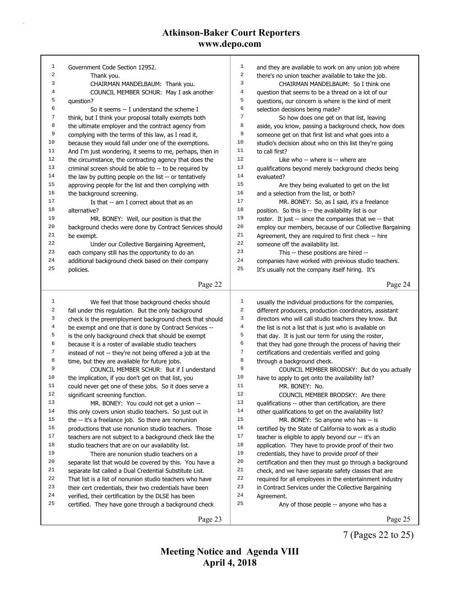| $\mathbf{1}$     | Government Code Section 12952.                           | $1\,$                   | and they are available to work on any union job where    |
|------------------|----------------------------------------------------------|-------------------------|----------------------------------------------------------|
| $\sqrt{2}$       | Thank you.                                               | $\boldsymbol{2}$        | there's no union teacher available to take the job.      |
| 3                | CHAIRMAN MANDELBAUM: Thank you.                          | 3                       | CHAIRMAN MANDELBAUM: So I think one                      |
| 4                | COUNCIL MEMBER SCHUR: May I ask another                  | $\overline{\mathbf{4}}$ | question that seems to be a thread on a lot of our       |
| 5                | question?                                                | 5                       | questions, our concern is where is the kind of merit     |
| 6                | So it seems -- I understand the scheme I                 | 6                       | selection decisions being made?                          |
| 7                | think, but I think your proposal totally exempts both    | 7                       | So how does one get on that list, leaving                |
| 8                | the ultimate employer and the contract agency from       | 8                       | aside, you know, passing a background check, how does    |
| 9                | complying with the terms of this law, as I read it,      | 9                       | someone get on that first list and what goes into a      |
| 10               | because they would fall under one of the exemptions.     | 10                      | studio's decision about who on this list they're going   |
| 11               | And I'm just wondering, it seems to me, perhaps, then in | 11                      | to call first?                                           |
| 12               | the circumstance, the contracting agency that does the   | 12                      | Like who -- where is -- where are                        |
| 13               | criminal screen should be able to -- to be required by   | 13                      | qualifications beyond merely background checks being     |
| 14               | the law by putting people on the list -- or tentatively  | 14                      | evaluated?                                               |
| 15               | approving people for the list and then complying with    | 15                      | Are they being evaluated to get on the list              |
| 16               | the background screening.                                | 16                      | and a selection from the list, or both?                  |
| 17               | Is that -- am I correct about that as an                 | 17                      | MR. BONEY: So, as I said, it's a freelance               |
| 18               | alternative?                                             | 18                      | position. So this is -- the availability list is our     |
| 19               | MR. BONEY: Well, our position is that the                | 19                      | roster. It just -- since the companies that we -- that   |
| 20               | background checks were done by Contract Services should  | 20                      | employ our members, because of our Collective Bargaining |
| 21               | be exempt.                                               | 21                      | Agreement, they are required to first check -- hire      |
| 22               | Under our Collective Bargaining Agreement,               | 22                      | someone off the availability list.                       |
| 23               | each company still has the opportunity to do an          | 23                      | This -- these positions are hired --                     |
| 24               | additional background check based on their company       | 24                      | companies have worked with previous studio teachers.     |
| 25               | policies.                                                | 25                      | It's usually not the company itself hiring. It's         |
|                  |                                                          |                         |                                                          |
|                  | Page 22                                                  |                         | Page 24                                                  |
|                  |                                                          |                         |                                                          |
|                  |                                                          |                         |                                                          |
| $\mathbf{1}$     | We feel that those background checks should              | $\mathbf{1}$            | usually the individual productions for the companies,    |
| 2                | fall under this regulation. But the only background      | $\sqrt{2}$              | different producers, production coordinators, assistant  |
| 3                | check is the preemployment background check that should  | 3                       | directors who will call studio teachers they know. But   |
| $\overline{4}$   | be exempt and one that is done by Contract Services --   | $\,4$                   | the list is not a list that is just who is available on  |
| 5                | is the only background check that should be exempt       | 5                       | that day. It is just our term for using the roster,      |
| 6                | because it is a roster of available studio teachers      | 6                       |                                                          |
| $\boldsymbol{7}$ |                                                          | 7                       | that they had gone through the process of having their   |
| 8                | instead of not -- they're not being offered a job at the | 8                       | certifications and credentials verified and going        |
| 9                | time, but they are available for future jobs.            | 9                       | through a background check.                              |
| 10               | COUNCIL MEMBER SCHUR: But if I understand                | 10                      | COUNCIL MEMBER BRODSKY: But do you actually              |
| 11               | the implication, if you don't get on that list, you      | 11                      | have to apply to get onto the availability list?         |
| 12               | could never get one of these jobs. So it does serve a    | 12                      | MR. BONEY: No.                                           |
|                  | significant screening function.                          |                         | COUNCIL MEMBER BRODSKY: Are there                        |
| 13               | MR. BONEY: You could not get a union --                  | 13                      | qualifications -- other than certification, are there    |
| 14               | this only covers union studio teachers. So just out in   | 14                      | other qualifications to get on the availability list?    |
| 15               | the -- it's a freelance job. So there are nonunion       | 15                      | MR. BONEY: So anyone who has -- is                       |
| 16               | productions that use nonunion studio teachers. Those     | 16                      | certified by the State of California to work as a studio |
| 17               | teachers are not subject to a background check like the  | 17                      | teacher is eligible to apply beyond our -- it's an       |
| 18               | studio teachers that are on our availability list.       | 18                      | application. They have to provide proof of their two     |
| 19               | There are nonunion studio teachers on a                  | 19                      | credentials, they have to provide proof of their         |
| 20               | separate list that would be covered by this. You have a  | 20                      | certification and then they must go through a background |
| 21               | separate list called a Dual Credential Substitute List.  | 21                      | check, and we have separate safety classes that are      |
| 22               | That list is a list of nonunion studio teachers who have | 22                      | required for all employees in the entertainment industry |
| 23               | their cert credentials, their two credentials have been  | 23                      | in Contract Services under the Collective Bargaining     |
| 24               | verified, their certification by the DLSE has been       | 24                      | Agreement.                                               |
| 25               | certified. They have gone through a background check     | 25                      | Any of those people -- anyone who has a                  |
|                  | Page 23                                                  |                         | Page 25                                                  |

Page 25

7 (Pages 22 to 25)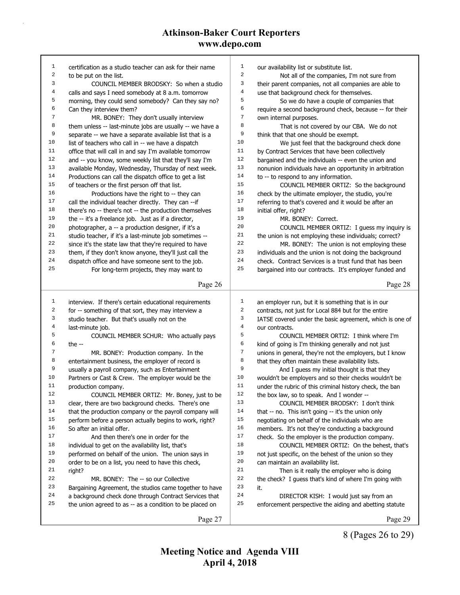| 1  | certification as a studio teacher can ask for their name            | 1              | our availability list or substitute list.                          |
|----|---------------------------------------------------------------------|----------------|--------------------------------------------------------------------|
| 2  | to be put on the list.                                              | $\overline{2}$ | Not all of the companies, I'm not sure from                        |
| 3  | COUNCIL MEMBER BRODSKY: So when a studio                            | 3              | their parent companies, not all companies are able to              |
| 4  | calls and says I need somebody at 8 a.m. tomorrow                   | 4              | use that background check for themselves.                          |
| 5  | morning, they could send somebody? Can they say no?                 | 5              | So we do have a couple of companies that                           |
| 6  | Can they interview them?                                            | 6              | require a second background check, because -- for their            |
| 7  | MR. BONEY: They don't usually interview                             | 7              | own internal purposes.                                             |
| 8  | them unless -- last-minute jobs are usually -- we have a            | 8              | That is not covered by our CBA. We do not                          |
| 9  | separate -- we have a separate available list that is a             | 9              | think that that one should be exempt.                              |
| 10 | list of teachers who call in -- we have a dispatch                  | 10             | We just feel that the background check done                        |
| 11 | office that will call in and say I'm available tomorrow             | 11             | by Contract Services that have been collectively                   |
| 12 | and -- you know, some weekly list that they'll say I'm              | 12             | bargained and the individuals -- even the union and                |
| 13 | available Monday, Wednesday, Thursday of next week.                 | 13             | nonunion individuals have an opportunity in arbitration            |
| 14 | Productions can call the dispatch office to get a list              | 14             | to -- to respond to any information.                               |
| 15 | of teachers or the first person off that list.                      | 15             | COUNCIL MEMBER ORTIZ: So the background                            |
| 16 | Productions have the right to -- they can                           | 16             | check by the ultimate employer, the studio, you're                 |
| 17 | call the individual teacher directly. They can -- if                | 17             | referring to that's covered and it would be after an               |
| 18 | there's no -- there's not -- the production themselves              | 18             | initial offer, right?                                              |
| 19 | the -- it's a freelance job. Just as if a director,                 | 19             | MR. BONEY: Correct.                                                |
| 20 | photographer, a -- a production designer, if it's a                 | 20             | COUNCIL MEMBER ORTIZ: I guess my inquiry is                        |
| 21 | studio teacher, if it's a last-minute job sometimes --              | 21             | the union is not employing these individuals; correct?             |
| 22 | since it's the state law that they're required to have              | 22             | MR. BONEY: The union is not employing these                        |
| 23 | them, if they don't know anyone, they'll just call the              | 23             | individuals and the union is not doing the background              |
| 24 | dispatch office and have someone sent to the job.                   | 24             | check. Contract Services is a trust fund that has been             |
| 25 | For long-term projects, they may want to                            | 25             | bargained into our contracts. It's employer funded and             |
|    |                                                                     |                |                                                                    |
|    | Page 26                                                             |                | Page 28                                                            |
|    |                                                                     |                |                                                                    |
|    |                                                                     |                |                                                                    |
| 1  | interview. If there's certain educational requirements              | $\mathbf 1$    | an employer run, but it is something that is in our                |
| 2  | for -- something of that sort, they may interview a                 | $\sqrt{2}$     | contracts, not just for Local 884 but for the entire               |
| 3  | studio teacher. But that's usually not on the                       | 3              | IATSE covered under the basic agreement, which is one of           |
| 4  | last-minute job.                                                    | 4              | our contracts.                                                     |
| 5  | COUNCIL MEMBER SCHUR: Who actually pays                             | 5              | COUNCIL MEMBER ORTIZ: I think where I'm                            |
| 6  | the $-$                                                             | 6              | kind of going is I'm thinking generally and not just               |
| 7  | MR. BONEY: Production company. In the                               | 7              | unions in general, they're not the employers, but I know           |
| 8  | entertainment business, the employer of record is                   | 8              | that they often maintain these availability lists.                 |
| 9  | usually a payroll company, such as Entertainment                    | 9              | And I guess my initial thought is that they                        |
| 10 | Partners or Cast & Crew. The employer would be the                  | 10             | wouldn't be employers and so their checks wouldn't be              |
| 11 | production company.                                                 | 11             | under the rubric of this criminal history check, the ban           |
| 12 | COUNCIL MEMBER ORTIZ: Mr. Boney, just to be                         | 12             | the box law, so to speak. And I wonder --                          |
| 13 | clear, there are two background checks. There's one                 | 13             | COUNCIL MEMBER BRODSKY: I don't think                              |
| 14 | that the production company or the payroll company will             | 14             | that $-$ no. This isn't going $-$ it's the union only              |
| 15 | perform before a person actually begins to work, right?             | 15             | negotiating on behalf of the individuals who are                   |
| 16 | So after an initial offer.                                          | 16             | members. It's not they're conducting a background                  |
| 17 | And then there's one in order for the                               | $17$           | check. So the employer is the production company.                  |
| 18 | individual to get on the availability list, that's                  | 18             | COUNCIL MEMBER ORTIZ: On the behest, that's                        |
| 19 | performed on behalf of the union. The union says in                 | 19             | not just specific, on the behest of the union so they              |
| 20 | order to be on a list, you need to have this check,                 | 20             | can maintain an availability list.                                 |
| 21 | right?                                                              | 21             |                                                                    |
| 22 | MR. BONEY: The -- so our Collective                                 | 22             | Then is it really the employer who is doing                        |
| 23 |                                                                     | 23             | the check? I guess that's kind of where I'm going with<br>it.      |
| 24 | Bargaining Agreement, the studios came together to have             | 24             |                                                                    |
| 25 | a background check done through Contract Services that              | 25             | DIRECTOR KISH: I would just say from an                            |
|    | the union agreed to as -- as a condition to be placed on<br>Page 27 |                | enforcement perspective the aiding and abetting statute<br>Page 29 |

8 (Pages 26 to 29)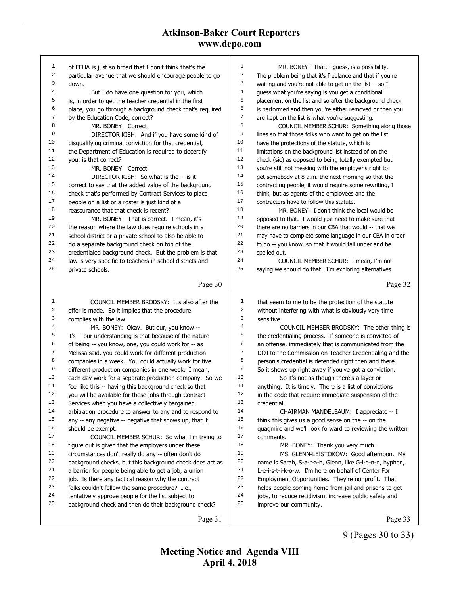| 1            | of FEHA is just so broad that I don't think that's the   | 1              | MR. BONEY: That, I guess, is a possibility.              |
|--------------|----------------------------------------------------------|----------------|----------------------------------------------------------|
| 2            | particular avenue that we should encourage people to go  | $\sqrt{2}$     | The problem being that it's freelance and that if you're |
| 3            | down.                                                    | 3              | waiting and you're not able to get on the list -- so I   |
| 4            | But I do have one question for you, which                | $\overline{4}$ | guess what you're saying is you get a conditional        |
| 5            | is, in order to get the teacher credential in the first  | 5              | placement on the list and so after the background check  |
| 6            | place, you go through a background check that's required | 6              | is performed and then you're either removed or then you  |
| 7            | by the Education Code, correct?                          | $\sqrt{ }$     | are kept on the list is what you're suggesting.          |
| 8            | MR. BONEY: Correct.                                      | 8              | COUNCIL MEMBER SCHUR: Something along those              |
| 9            | DIRECTOR KISH: And if you have some kind of              | 9              | lines so that those folks who want to get on the list    |
| 10           | disqualifying criminal conviction for that credential,   | 10             | have the protections of the statute, which is            |
| 11           | the Department of Education is required to decertify     | 11             | limitations on the background list instead of on the     |
| 12           | you; is that correct?                                    | 12             | check (sic) as opposed to being totally exempted but     |
| 13           | MR. BONEY: Correct.                                      | 13             | you're still not messing with the employer's right to    |
| 14           | DIRECTOR KISH: So what is the -- is it                   | 14             | get somebody at 8 a.m. the next morning so that the      |
| 15           | correct to say that the added value of the background    | $15$           | contracting people, it would require some rewriting, I   |
| 16           | check that's performed by Contract Services to place     | 16             | think, but as agents of the employees and the            |
| 17           | people on a list or a roster is just kind of a           | 17             | contractors have to follow this statute.                 |
| 18           | reassurance that that check is recent?                   | 18             | MR. BONEY: I don't think the local would be              |
| 19           | MR. BONEY: That is correct. I mean, it's                 | 19             | opposed to that. I would just need to make sure that     |
| 20           | the reason where the law does require schools in a       | 20             | there are no barriers in our CBA that would -- that we   |
| 21           | school district or a private school to also be able to   | 21             | may have to complete some language in our CBA in order   |
| $2\sqrt{2}$  | do a separate background check on top of the             | 22             | to do -- you know, so that it would fall under and be    |
| 23           | credentialed background check. But the problem is that   | 23             | spelled out.                                             |
| 24           | law is very specific to teachers in school districts and | 24             | COUNCIL MEMBER SCHUR: I mean, I'm not                    |
| 25           | private schools.                                         | 25             | saying we should do that. I'm exploring alternatives     |
|              | Page 30                                                  |                | Page 32                                                  |
|              |                                                          |                |                                                          |
|              |                                                          |                |                                                          |
| $\mathbf{1}$ | COUNCIL MEMBER BRODSKY: It's also after the              | $\mathbf{1}$   | that seem to me to be the protection of the statute      |
| 2            | offer is made. So it implies that the procedure          | 2              | without interfering with what is obviously very time     |
| 3            | complies with the law.                                   | 3              | sensitive.                                               |
| 4            | MR. BONEY: Okay. But our, you know --                    | 4              | COUNCIL MEMBER BRODSKY: The other thing is               |
| 5            | it's -- our understanding is that because of the nature  | 5              | the credentialing process. If someone is convicted of    |
| 6            | of being -- you know, one, you could work for -- as      | 6              | an offense, immediately that is communicated from the    |
| 7            | Melissa said, you could work for different production    | $\sqrt{ }$     | DOJ to the Commission on Teacher Credentialing and the   |
| 8            | companies in a week. You could actually work for five    | 8              | person's credential is defended right then and there.    |
| 9            | different production companies in one week. I mean,      | 9              | So it shows up right away if you've got a conviction.    |
| 10           | each day work for a separate production company. So we   | 10             | So it's not as though there's a layer or                 |
| 11           | feel like this -- having this background check so that   | 11             | anything. It is timely. There is a list of convictions   |
| 12           | you will be available for these jobs through Contract    | 12             | in the code that require immediate suspension of the     |
| 13           | Services when you have a collectively bargained          | 13             | credential.                                              |
| 14           | arbitration procedure to answer to any and to respond to | 14             | CHAIRMAN MANDELBAUM: I appreciate -- I                   |
| 15           | any -- any negative -- negative that shows up, that it   | 15             | think this gives us a good sense on the -- on the        |
| 16           | should be exempt.                                        | 16             | quagmire and we'll look forward to reviewing the written |
| 17           | COUNCIL MEMBER SCHUR: So what I'm trying to              | 17             | comments.                                                |
| 18           | figure out is given that the employers under these       | 18             | MR. BONEY: Thank you very much.                          |
| 19           | circumstances don't really do any -- often don't do      | 19             | MS. GLENN-LEISTOKOW: Good afternoon. My                  |
| 20           | background checks, but this background check does act as | 20             | name is Sarah, S-a-r-a-h, Glenn, like G-I-e-n-n, hyphen, |
| 21           | a barrier for people being able to get a job, a union    | 21             | L-e-i-s-t-i-k-o-w. I'm here on behalf of Center For      |
| 22           | job. Is there any tactical reason why the contract       | 22             | Employment Opportunities. They're nonprofit. That        |
| 23           | folks couldn't follow the same procedure? I.e.,          | 23             | helps people coming home from jail and prisons to get    |
| 24           | tentatively approve people for the list subject to       | 24             | jobs, to reduce recidivism, increase public safety and   |
| 25           | background check and then do their background check?     | 25             | improve our community.                                   |

9 (Pages 30 to 33)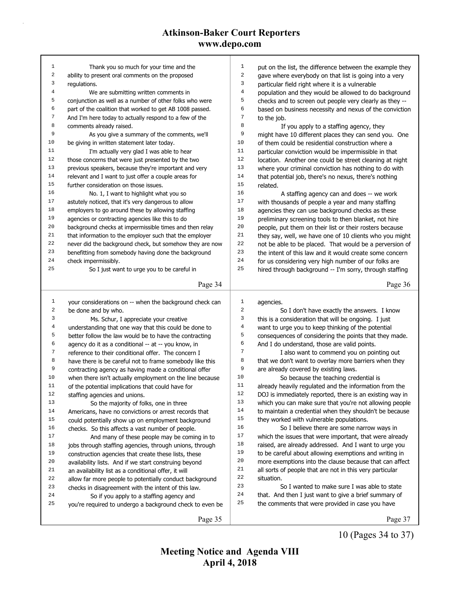| $\mathbf{1}$            | Thank you so much for your time and the                  | 1                                                    | put on the list, the difference between the example they |
|-------------------------|----------------------------------------------------------|------------------------------------------------------|----------------------------------------------------------|
| $\overline{\mathbf{c}}$ | ability to present oral comments on the proposed         | 2                                                    | gave where everybody on that list is going into a very   |
| 3                       | regulations.                                             | 3<br>particular field right where it is a vulnerable |                                                          |
| 4                       | We are submitting written comments in                    | $\bf 4$                                              | population and they would be allowed to do background    |
| 5                       | conjunction as well as a number of other folks who were  | 5                                                    | checks and to screen out people very clearly as they --  |
| 6                       | part of the coalition that worked to get AB 1008 passed. | 6                                                    | based on business necessity and nexus of the conviction  |
| $\boldsymbol{7}$        | And I'm here today to actually respond to a few of the   | 7<br>to the job.                                     |                                                          |
| 8                       | comments already raised.                                 | 8                                                    | If you apply to a staffing agency, they                  |
| 9                       | As you give a summary of the comments, we'll             | 9                                                    | might have 10 different places they can send you. One    |
| 10                      | be giving in written statement later today.              | 10                                                   | of them could be residential construction where a        |
| 11                      | I'm actually very glad I was able to hear                | 11                                                   | particular conviction would be impermissible in that     |
| 12                      | those concerns that were just presented by the two       | 12                                                   | location. Another one could be street cleaning at night  |
| 13                      | previous speakers, because they're important and very    | 13                                                   | where your criminal conviction has nothing to do with    |
| 14                      | relevant and I want to just offer a couple areas for     | 14                                                   | that potential job, there's no nexus, there's nothing    |
| 15                      | further consideration on those issues.                   | 15<br>related.                                       |                                                          |
| 16                      | No. 1, I want to highlight what you so                   | 16                                                   | A staffing agency can and does -- we work                |
| 17                      | astutely noticed, that it's very dangerous to allow      | 17                                                   | with thousands of people a year and many staffing        |
| 18                      | employers to go around these by allowing staffing        | 18                                                   | agencies they can use background checks as these         |
| 19                      | agencies or contracting agencies like this to do         | 19                                                   | preliminary screening tools to then blanket, not hire    |
| 20                      | background checks at impermissible times and then relay  | 20                                                   | people, put them on their list or their rosters because  |
| 21                      | that information to the employer such that the employer  | 21                                                   | they say, well, we have one of 10 clients who you might  |
| 22                      | never did the background check, but somehow they are now | 22                                                   | not be able to be placed. That would be a perversion of  |
| 23                      | benefitting from somebody having done the background     | 23                                                   | the intent of this law and it would create some concern  |
| 24                      | check impermissibly.                                     | 24                                                   | for us considering very high number of our folks are     |
| 25                      | So I just want to urge you to be careful in              | 25                                                   | hired through background -- I'm sorry, through staffing  |
|                         |                                                          |                                                      |                                                          |
|                         | Page 34                                                  |                                                      | Page 36                                                  |
|                         |                                                          |                                                      |                                                          |
|                         |                                                          |                                                      |                                                          |
| $\mathbf{1}$            | your considerations on -- when the background check can  | 1<br>agencies.                                       |                                                          |
| 2                       | be done and by who.                                      | $\sqrt{2}$                                           | So I don't have exactly the answers. I know              |
| 3                       | Ms. Schur, I appreciate your creative                    | 3                                                    | this is a consideration that will be ongoing. I just     |
| 4                       | understanding that one way that this could be done to    | $\overline{4}$                                       | want to urge you to keep thinking of the potential       |
| 5                       | better follow the law would be to have the contracting   | 5                                                    | consequences of considering the points that they made.   |
| 6                       | agency do it as a conditional -- at -- you know, in      | 6<br>And I do understand, those are valid points.    |                                                          |
| 7                       | reference to their conditional offer. The concern I      | 7                                                    | I also want to commend you on pointing out               |
| 8                       | have there is be careful not to frame somebody like this | 8                                                    | that we don't want to overlay more barriers when they    |
| 9                       | contracting agency as having made a conditional offer    | 9<br>are already covered by existing laws.           |                                                          |
| $10$                    | when there isn't actually employment on the line because | 10                                                   | So because the teaching credential is                    |
| 11                      | of the potential implications that could have for        | 11                                                   | already heavily regulated and the information from the   |
| 12                      | staffing agencies and unions.                            | 12                                                   | DOJ is immediately reported, there is an existing way in |
| 13                      | So the majority of folks, one in three                   | 13                                                   | which you can make sure that you're not allowing people  |
| 14                      | Americans, have no convictions or arrest records that    | 14                                                   | to maintain a credential when they shouldn't be because  |
| 15                      | could potentially show up on employment background       | 15<br>they worked with vulnerable populations.       |                                                          |
| 16                      | checks. So this affects a vast number of people.         | 16                                                   | So I believe there are some narrow ways in               |
| $17$                    | And many of these people may be coming in to             | $17\,$                                               | which the issues that were important, that were already  |
| 18                      | jobs through staffing agencies, through unions, through  | 18                                                   | raised, are already addressed. And I want to urge you    |
| 19                      | construction agencies that create these lists, these     | 19                                                   | to be careful about allowing exemptions and writing in   |
| 20                      | availability lists. And if we start construing beyond    | 20                                                   | more exemptions into the clause because that can affect  |
| 21                      | an availability list as a conditional offer, it will     | 21                                                   | all sorts of people that are not in this very particular |
| 22                      | allow far more people to potentially conduct background  | 22<br>situation.                                     |                                                          |
| 23                      | checks in disagreement with the intent of this law.      | 23                                                   | So I wanted to make sure I was able to state             |
| 24                      | So if you apply to a staffing agency and                 | 24                                                   | that. And then I just want to give a brief summary of    |
| 25                      | you're required to undergo a background check to even be | 25                                                   | the comments that were provided in case you have         |

10 (Pages 34 to 37)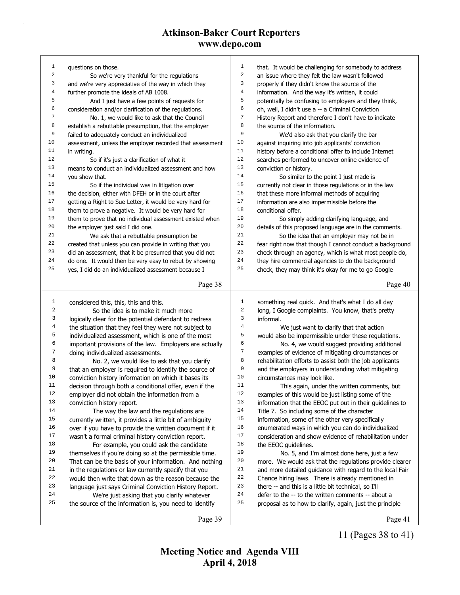| $\mathbf{1}$            | questions on those.                                      | $\mathbf{1}$     | that. It would be challenging for somebody to address    |
|-------------------------|----------------------------------------------------------|------------------|----------------------------------------------------------|
| $\overline{\mathbf{c}}$ | So we're very thankful for the regulations               | $\sqrt{2}$       | an issue where they felt the law wasn't followed         |
| 3                       | and we're very appreciative of the way in which they     | 3                | properly if they didn't know the source of the           |
| $\overline{4}$          | further promote the ideals of AB 1008.                   | 4                | information. And the way it's written, it could          |
| 5                       | And I just have a few points of requests for             | 5                | potentially be confusing to employers and they think,    |
| 6                       | consideration and/or clarification of the regulations.   | $\epsilon$       | oh, well, I didn't use a -- a Criminal Conviction        |
| $\sqrt{ }$              | No. 1, we would like to ask that the Council             | 7                | History Report and therefore I don't have to indicate    |
| 8                       | establish a rebuttable presumption, that the employer    | 8                | the source of the information.                           |
| 9                       | failed to adequately conduct an individualized           | 9                | We'd also ask that you clarify the bar                   |
| 10                      | assessment, unless the employer recorded that assessment | 10               | against inquiring into job applicants' conviction        |
| 11                      | in writing.                                              | 11               | history before a conditional offer to include Internet   |
| 12                      | So if it's just a clarification of what it               | 12               | searches performed to uncover online evidence of         |
| 13                      | means to conduct an individualized assessment and how    | 13               | conviction or history.                                   |
| 14                      | you show that.                                           | 14               | So similar to the point I just made is                   |
| 15                      | So if the individual was in litigation over              | 15               | currently not clear in those regulations or in the law   |
| 16                      | the decision, either with DFEH or in the court after     | 16               | that these more informal methods of acquiring            |
| 17                      | getting a Right to Sue Letter, it would be very hard for | 17               | information are also impermissible before the            |
| 18                      | them to prove a negative. It would be very hard for      | 18               | conditional offer.                                       |
| 19                      | them to prove that no individual assessment existed when | 19               | So simply adding clarifying language, and                |
| 20                      | the employer just said I did one.                        | 20               | details of this proposed language are in the comments.   |
| 21                      | We ask that a rebuttable presumption be                  | 21               | So the idea that an employer may not be in               |
| 22                      | created that unless you can provide in writing that you  | 22               | fear right now that though I cannot conduct a background |
| 23                      | did an assessment, that it be presumed that you did not  | 23               | check through an agency, which is what most people do,   |
| 24                      | do one. It would then be very easy to rebut by showing   | 24               | they hire commercial agencies to do the background       |
| 25                      | yes, I did do an individualized assessment because I     | 25               | check, they may think it's okay for me to go Google      |
|                         |                                                          |                  |                                                          |
|                         | Page 38                                                  |                  | Page 40                                                  |
|                         |                                                          |                  |                                                          |
|                         |                                                          |                  |                                                          |
| $\mathbf{1}$            | considered this, this, this and this.                    | $\mathbf{1}$     | something real quick. And that's what I do all day       |
| 2                       | So the idea is to make it much more                      | $\boldsymbol{2}$ | long, I Google complaints. You know, that's pretty       |
| 3                       | logically clear for the potential defendant to redress   | 3                | informal.                                                |
| 4                       | the situation that they feel they were not subject to    | $\overline{4}$   | We just want to clarify that that action                 |
| 5                       | individualized assessment, which is one of the most      | 5                | would also be impermissible under these regulations.     |
| б                       | important provisions of the law. Employers are actually  | 6                | No. 4, we would suggest providing additional             |
| 7                       | doing individualized assessments.                        | $\sqrt{7}$       | examples of evidence of mitigating circumstances or      |
| 8                       | No. 2, we would like to ask that you clarify             | 8                | rehabilitation efforts to assist both the job applicants |
| 9                       | that an employer is required to identify the source of   | 9                | and the employers in understanding what mitigating       |
| 10                      | conviction history information on which it bases its     | 10               | circumstances may look like.                             |
| 11                      | decision through both a conditional offer, even if the   | 11               | This again, under the written comments, but              |
| 12                      | employer did not obtain the information from a           | 12               | examples of this would be just listing some of the       |
| 13                      | conviction history report.                               | 13               | information that the EEOC put out in their guidelines to |
| 14                      | The way the law and the regulations are                  | 14               | Title 7. So including some of the character              |
| 15                      |                                                          | 15               |                                                          |
| 16                      | currently written, it provides a little bit of ambiguity | 16               | information, some of the other very specifically         |
| 17                      | over if you have to provide the written document if it   | $17\,$           | enumerated ways in which you can do individualized       |
| 18                      | wasn't a formal criminal history conviction report.      | 18               | consideration and show evidence of rehabilitation under  |
| 19                      | For example, you could ask the candidate                 | 19               | the EEOC guidelines.                                     |
| 20                      | themselves if you're doing so at the permissible time.   | $20\,$           | No. 5, and I'm almost done here, just a few              |
| 21                      | That can be the basis of your information. And nothing   | 21               | more. We would ask that the regulations provide clearer  |
|                         | in the regulations or law currently specify that you     |                  | and more detailed guidance with regard to the local Fair |
| 22                      | would then write that down as the reason because the     | 22               | Chance hiring laws. There is already mentioned in        |
| 23                      | language just says Criminal Conviction History Report.   | 23               | there -- and this is a little bit technical, so I'll     |
| 24                      | We're just asking that you clarify whatever              | 24               | defer to the -- to the written comments -- about a       |
| 25                      | the source of the information is, you need to identify   | 25               | proposal as to how to clarify, again, just the principle |

11 (Pages 38 to 41)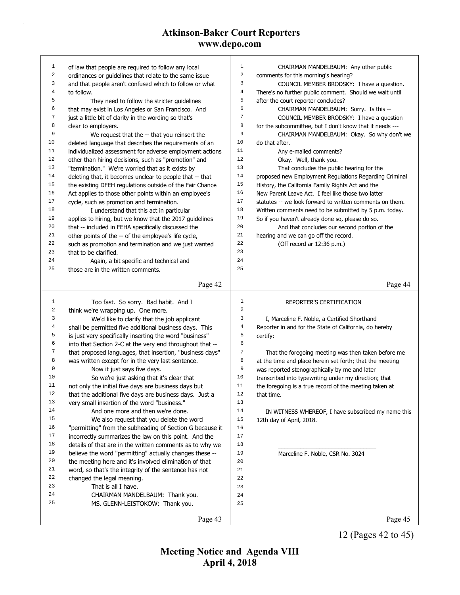| $\mathbf{1}$ |                                                                                                                   | 1              | CHAIRMAN MANDELBAUM: Any other public                                                          |
|--------------|-------------------------------------------------------------------------------------------------------------------|----------------|------------------------------------------------------------------------------------------------|
| 2            | of law that people are required to follow any local                                                               | $\,2$          |                                                                                                |
| 3            | ordinances or guidelines that relate to the same issue<br>and that people aren't confused which to follow or what | 3              | comments for this morning's hearing?<br>COUNCIL MEMBER BRODSKY: I have a question.             |
| 4            | to follow.                                                                                                        | $\overline{4}$ |                                                                                                |
| 5            |                                                                                                                   | 5              | There's no further public comment. Should we wait until<br>after the court reporter concludes? |
| 6            | They need to follow the stricter guidelines<br>that may exist in Los Angeles or San Francisco. And                | 6              |                                                                                                |
| 7            |                                                                                                                   | 7              | CHAIRMAN MANDELBAUM: Sorry. Is this --                                                         |
| 8            | just a little bit of clarity in the wording so that's                                                             | $^{\rm 8}$     | COUNCIL MEMBER BRODSKY: I have a question                                                      |
| 9            | clear to employers.                                                                                               | 9              | for the subcommittee, but I don't know that it needs ---                                       |
| 10           | We request that the -- that you reinsert the                                                                      | 10             | CHAIRMAN MANDELBAUM: Okay. So why don't we                                                     |
| 11           | deleted language that describes the requirements of an                                                            | 11             | do that after.                                                                                 |
| 12           | individualized assessment for adverse employment actions                                                          | 12             | Any e-mailed comments?                                                                         |
|              | other than hiring decisions, such as "promotion" and                                                              | 13             | Okay. Well, thank you.                                                                         |
| 13           | "termination." We're worried that as it exists by                                                                 | 14             | That concludes the public hearing for the                                                      |
| 14<br>15     | deleting that, it becomes unclear to people that -- that                                                          | 15             | proposed new Employment Regulations Regarding Criminal                                         |
| 16           | the existing DFEH regulations outside of the Fair Chance                                                          | 16             | History, the California Family Rights Act and the                                              |
|              | Act applies to those other points within an employee's                                                            |                | New Parent Leave Act. I feel like those two latter                                             |
| 17           | cycle, such as promotion and termination.                                                                         | 17             | statutes -- we look forward to written comments on them.                                       |
| 18           | I understand that this act in particular                                                                          | 18             | Written comments need to be submitted by 5 p.m. today.                                         |
| 19           | applies to hiring, but we know that the 2017 guidelines                                                           | 19             | So if you haven't already done so, please do so.                                               |
| 20           | that -- included in FEHA specifically discussed the                                                               | 20             | And that concludes our second portion of the                                                   |
| 21           | other points of the -- of the employee's life cycle,                                                              | 21             | hearing and we can go off the record.                                                          |
| 22           | such as promotion and termination and we just wanted                                                              | 22             | (Off record ar 12:36 p.m.)                                                                     |
| 23           | that to be clarified.                                                                                             | 23             |                                                                                                |
| 24           | Again, a bit specific and technical and                                                                           | 24             |                                                                                                |
| 25           | those are in the written comments.                                                                                | 25             |                                                                                                |
|              | Page 42                                                                                                           |                | Page 44                                                                                        |
|              |                                                                                                                   |                |                                                                                                |
|              |                                                                                                                   |                |                                                                                                |
| $\mathbf{1}$ |                                                                                                                   | 1              | REPORTER'S CERTIFICATION                                                                       |
| 2            | Too fast. So sorry. Bad habit. And I                                                                              | $\sqrt{2}$     |                                                                                                |
| 3            | think we're wrapping up. One more.                                                                                | 3              |                                                                                                |
| 4            | We'd like to clarify that the job applicant                                                                       | $\overline{4}$ | I, Marceline F. Noble, a Certified Shorthand                                                   |
| 5            | shall be permitted five additional business days. This                                                            | 5              | Reporter in and for the State of California, do hereby                                         |
| 6            | is just very specifically inserting the word "business"                                                           | 6              | certify:                                                                                       |
| 7            | into that Section 2-C at the very end throughout that --                                                          | $\sqrt{ }$     |                                                                                                |
| 8            | that proposed languages, that insertion, "business days"                                                          | 8              | That the foregoing meeting was then taken before me                                            |
| 9            | was written except for in the very last sentence.                                                                 | 9              | at the time and place herein set forth; that the meeting                                       |
| 10           | Now it just says five days.                                                                                       | 10             | was reported stenographically by me and later                                                  |
| 11           | So we're just asking that it's clear that                                                                         | 11             | transcribed into typewriting under my direction; that                                          |
| 12           | not only the initial five days are business days but                                                              | 12             | the foregoing is a true record of the meeting taken at<br>that time.                           |
| 13           | that the additional five days are business days. Just a                                                           | 13             |                                                                                                |
| 14           | very small insertion of the word "business."                                                                      | 14             |                                                                                                |
| 15           | And one more and then we're done.                                                                                 |                | IN WITNESS WHEREOF, I have subscribed my name this                                             |
| 16           | We also request that you delete the word                                                                          | $15\,$<br>16   | 12th day of April, 2018.                                                                       |
| 17           | "permitting" from the subheading of Section G because it                                                          | 17             |                                                                                                |
| 18           | incorrectly summarizes the law on this point. And the                                                             | 18             |                                                                                                |
| 19           | details of that are in the written comments as to why we                                                          | 19             |                                                                                                |
| 20           | believe the word "permitting" actually changes these --                                                           | 20             | Marceline F. Noble, CSR No. 3024                                                               |
| 21           | the meeting here and it's involved elimination of that                                                            | 21             |                                                                                                |
| 22           | word, so that's the integrity of the sentence has not                                                             | 22             |                                                                                                |
| 23           | changed the legal meaning.<br>That is all I have.                                                                 | 23             |                                                                                                |
| 24           |                                                                                                                   | 24             |                                                                                                |
| 25           | CHAIRMAN MANDELBAUM: Thank you.                                                                                   | 25             |                                                                                                |
|              | MS. GLENN-LEISTOKOW: Thank you.                                                                                   |                |                                                                                                |

12 (Pages 42 to 45)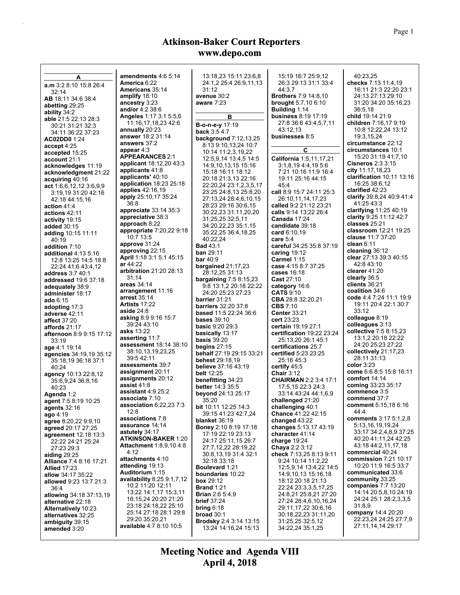|                                                     | amendments 4:6 5:14                                          |                                                    |                                                        |                                                 |
|-----------------------------------------------------|--------------------------------------------------------------|----------------------------------------------------|--------------------------------------------------------|-------------------------------------------------|
| A                                                   | America 6:22                                                 | 13:18.23 15:11 23:6.8<br>24:1,2 25:4 26:9,11,13    | 15:19 16:7 25:9.12<br>26:3 29:13 31:1 33:4             | 40:23,25<br>checks 7:13 11:4,19                 |
| a.m 3:2 8:10 15:8 26:4<br>32:14                     | <b>Americans</b> 35:14                                       | 31:12                                              | 44:3.7                                                 | 16:11 21:3 22:20 23:1                           |
| <b>AB</b> 18:11 34:6 38:4                           | amplify $18:10$                                              | avenue 30:2                                        | <b>Brothers</b> 7:9 14:8,10                            | 24:13 27:13 29:10                               |
| abetting 29:25                                      | ancestry 3:23                                                | aware $7:23$                                       | <b>brought</b> $5:7,106:10$                            | 31:20 34:20 35:16,23                            |
| ability 34:2                                        | and/or 4:2 38:6<br><b>Angeles 1:17 3:1 5:5,6</b>             | в                                                  | <b>Building 1:14</b><br>business 8:19 17:19            | 36:5,18<br>child 19:14 21:9                     |
| able 21:5 22:13 28:3                                | 11:16,17,18,23 42:6                                          | B-o-n-e-y 17:19                                    | 27:8 36:6 43:4,5,7,11                                  | children 7:16,17 9:19                           |
| 30:21 31:21 32:3                                    | annually 20:23                                               | back 3:5 4:7                                       | 43:12,13                                               | 10:8 12:22,24 13:12                             |
| 34:11 36:22 37:23<br>AC02DD0 1:24                   | answer 18:2 31:14                                            | <b>background</b> 7:12,13,25                       | businesses 8:5                                         | 19:3,15,24                                      |
| accept 4:25                                         | answers 37:2                                                 | 8:13 9:10,13,24 10:7                               |                                                        | circumstance 22:12                              |
| accepted 15:25                                      | appear $4:3$                                                 | 10:14 11:2,3,19,22                                 | C                                                      | circumstances 10:1                              |
| account 21:1                                        | <b>APPEARANCES 2:1</b><br>applicant 18:12,20 43:3            | 12:5,9,14 13:4,5 14:5                              | California 1:5,11,17,21                                | 15:20 31:19 41:7,10<br><b>Cisneros 2:3 3:15</b> |
| acknowledges 11:19                                  | applicants 41:8                                              | 14:9,10,13,15 15:16<br>15:18 16:11 18:12           | 3:1,8,19,4:4,19,5.6<br>7:21 10:16 11:9 16:4            | city 11:17,18,23                                |
| acknowledgment 21:22<br>acquiring 40:16             | applicants' 40:10                                            | 20:18 21:3,13 22:16                                | 19:11 25:16 44:15                                      | <b>clarification</b> 10:11 13:16                |
| act $1:6,6,12,12,3:6,9,9$                           | <b>application</b> 18:23 25:18                               | 22:20,24 23:1,2,3,5,17                             | 45:4                                                   | 16:25 38:6,12                                   |
| 3:19,19 31:20 42:16                                 | <b>applies</b> 42:16,19                                      | 23:25 24:8,13 25:8,20                              | call 8.9 15:7 24:11 25:3                               | clarified 42:23                                 |
| 42:18 44:15,16                                      | apply 25:10,17 35:24<br>36:8                                 | 27:13,24 28:4,6,10,15                              | 26:10,11,14,17,23                                      | clarify 39.8,24 40:9 41:4<br>41 25 43 3         |
| action 41:4                                         | <b>appreciate</b> 33:14 35:3                                 | 28:23 29:16 30:6,15<br>30:22,23 31:11,20,20        | called 9:2 21:12 23:21<br>calls 9:14 13:22 26:4        | clarifying 11:25 40:19                          |
| actions 42:11<br>activity 19:15                     | appreciative 38:3                                            | 31:25,25 32:5,11                                   | Canada 17:24                                           | clarity 9:25 11:12 42:7                         |
| <b>added</b> 30:15                                  | approach 8:22                                                | 34:20,22,23 35:1,15                                | candidate 39:18                                        | classes 25:21                                   |
| adding 10:15 11:11                                  | appropriate 7:20,22 9:18                                     | 35:22,25 36:4,18,25                                | card 6:10,19                                           | classroom 12:21 19:25                           |
| 40:19                                               | 10:7 13:5<br>approve 31:24                                   | 40:22,24                                           | care $5.4$                                             | clause 11:7 37:20<br>clean $6:11$               |
| addition 7:10                                       | approving 22:15                                              | <b>Bad 43:1</b>                                    | careful 34:25 35:8 37:19                               | cleaning 36:12                                  |
| <b>additional 4:13 5:16</b><br>12:8 13:25 14:5 18:8 | April 1:18 3:1 5:1 45:15                                     | <b>ban</b> 29:11<br>bar 40.9                       | caring $19:12$<br>Carmel 1:15                          | clear 27:13 39:3 40:15                          |
| 22:24 41:6 43:4,12                                  | ar 44:22                                                     | bargained 21:17,23                                 | case 4:15 8:7 37:25                                    | 42:8 43:10                                      |
| <b>address</b> 3:7 40:1                             | arbitration 21:20 28:13                                      | 28:12,25 31:13                                     | cases $16:18$                                          | clearer $41:20$                                 |
| <b>addressed</b> 19:6 37:18                         | 31:14<br>areas $34:14$                                       | bargaining $7.58.15.23$                            | <b>Cast 27:10</b>                                      | clearly 36:5<br>clients $36:21$                 |
| adequately 38:9                                     | arrangement 11:16                                            | 9:8 13:1,2 20:18 22:22                             | category 16:6                                          | coalition 34:6                                  |
| administer 18:17<br>ado 6:15                        | arrest $35:14$                                               | 24:20 25:23 27:23<br>barrier 31:21                 | <b>CATS</b> 9:10<br><b>CBA</b> 28:8 32:20,21           | code 4:4 7:24 11:1 19:9                         |
| adopting 17:3                                       | <b>Artists 17:22</b>                                         | <b>barriers</b> 32:20 37:8                         | <b>CBS 7:10</b>                                        | 19:11 20:4 22:1 30:7                            |
| adverse 42:11                                       | aside $24:8$                                                 | based 11:5 22:24 36:6                              | <b>Center</b> 33:21                                    | 33:12                                           |
| <b>affect</b> 37:20                                 | asking 8:9 9:16 15:7<br>39:24 43:10                          | <b>bases</b> 39:10                                 | cert 23:23                                             | colleague 8:19<br>colleagues 3:13               |
| affords $21:17$                                     | <b>asks</b> 13:22                                            | <b>basic 9:20 29:3</b>                             | certain 19:19 27:1<br><b>certification</b> 19:22 23:24 | collective 7:5 8:15,23                          |
| <b>afternoon</b> 8:9 9:15 17:12<br>33:19            | asserting 11:7                                               | <b>basically</b> 13:17<br><b>basis</b> 39:20       | 25:13,20 26:1 45:1                                     | 13:1,2 20:18 22:22                              |
| age 4:1 19:14                                       | <b>assessment</b> 18:14 38:10                                | begins $27:15$                                     | certifications 25:7                                    | 24:20 25:23 27:22                               |
| <b>agencies</b> 34:19,19 35:12                      | 38:10,13,19,23,25                                            | <b>behalf</b> 27:19 29:15 33:21                    | certified 5:23 23:25                                   | collectively 21:17,23                           |
| 35:18,19 36:18 37:1                                 | 39:5 42:11<br>assessments 39:7                               | <b>behest</b> 29:18,19                             | 25:16 45:3                                             | 28:11 31:13<br>color $3:23$                     |
| 40:24                                               | assignment 20:11                                             | <b>believe</b> 37:16 43:19<br><b>belt</b> 12:25    | certify 45:5<br><b>Chair</b> 3:12                      | come 6.6 8.5 15:8 16.11                         |
| agency 10:13 22:8,12<br>35.6,9,24 36:8,16           | assignments 20:12                                            | <b>benefitting 34:23</b>                           | <b>CHAIRMAN 2:2 3:4 17:1</b>                           | comfort $14:14$                                 |
| 40:23                                               | assist 41:8                                                  | <b>better</b> 14:3 35:5                            | 17:5,15 22:3 24:3                                      | coming 33:23 35:17                              |
| Agenda 1:2                                          | assistant $4:925:2$                                          | beyond 24:13 25:17                                 | 33:14 43:24 44:1,6,9                                   | commence 3:5                                    |
| agent 7:5 8:19 10:25                                | associate 7:10<br>association 6:22,23 7:3                    | 35.20                                              | challenged 21:20                                       | commend 37:7<br>comment 5:15,18 6:16            |
| agents $32:16$                                      | 12:8                                                         | <b>bit</b> 10:11 12:25 14:3<br>39:15 41:23 42:7.24 | challenging 40:1<br>Chance 41:22 42:15                 | 44:4                                            |
| ago 4:19<br>agree 8:20,22 9:9,10                    | associations 7:8                                             | <b>blanket</b> 36:19                               | changed $43:22$                                        | comments 3:17 5:1,2,8                           |
| agreed 20:17 27:25                                  | assurance 14:14                                              | <b>Boney 2:10 8:19 17:18</b>                       | changes 5:13,17 43:19                                  | 5:13,16,19,19,24                                |
| <b>agreement</b> 12:18 13:3                         | astutely 34:17                                               | 17:19 22:19 23:13                                  | character 41:14                                        | 33:17 34:2,4,8,9 37:25                          |
| 22:22 24:21 25:24                                   | <b>ATKINSON-BAKER 1:20</b><br><b>Attachment</b> 1:8,9,10 4:8 | 24:17 25:11.15 26:7                                | charge $19:24$                                         | 40:20 41:11,24 42:25<br>43:18 44:2,11,17,18     |
| 27:23 29:3                                          | 4:12                                                         | 27:7,12,22 28:19,22<br>30:8,13,19 31:4 32:1        | <b>Chaya</b> 2:2 3:12<br>check 7:13,25 8:13 9:11       | commercial 40:24                                |
| aiding $29:25$<br>Alliance 7:4 8:16 17:21           | attachments 4:10                                             | 32:18 33:18                                        | 9:24 10:14 11:2,22                                     | commission $7:21$ 10:17                         |
| <b>Allied 17:23</b>                                 | attending 19:13                                              | <b>Boulevard 1:21</b>                              | 12:5,9,14 13:4,22 14:5                                 | 10:20 11:9 16:5 33:7                            |
| allow 34:17 35:22                                   | Auditorium 1:15                                              | boundaries 10:22                                   | 14:9,10,13 15:16,18                                    | communicated 33.6                               |
| <b>allowed 9:23 13:7 21:3</b>                       | availability 8:25 9:1,7,12<br>10:2 11:20 12:11               | box $29:12$                                        | 18:12 20:18 21:13                                      | community 33:25<br>companies 7:7 13:20          |
| 36:4<br><b>allowing 34:18 37:13,19</b>              | 13:22 14:1.17 15:3.11                                        | <b>Brand 1:21</b><br><b>Brian 2:6 5:4.9</b>        | 22:24 23:3,3,5,17,25<br>24:8,21 25:8,21 27:20          | 14:14 20:5,8,10 24:19                           |
| alternative 22:18                                   | 16:15,24 20:20 21:20                                         | <b>brief</b> 37:24                                 | 27:24 28:4,6,10,16,24                                  | 24:24 25:1 28:2,3,3,5                           |
| <b>Alternatively 10:23</b>                          | 23:18 24:18,22 25:10                                         | bring $6:18$                                       | 29:11,17,22 30:6,16                                    | 31:8,9                                          |
| alternatives 32:25                                  | 25:14 27:18 28:1 29:8                                        | broad $30:1$                                       | 30:18,22,23 31:11,20                                   | company 14:4 20:20                              |
| ambiguity 39:15                                     | 29:20 35:20,21<br>available 4:7 8:10 10:5                    | <b>Brodsky</b> 2:4 3:14 13:15                      | 31:25,25 32:5,12                                       | 22:23,24 24:25 27:7,9<br>27:11,14,14 29:17      |
| amended 3:20                                        |                                                              | 13:24 14:16,24 15:13                               | 34:22,24 35:1,25                                       |                                                 |
|                                                     |                                                              |                                                    |                                                        |                                                 |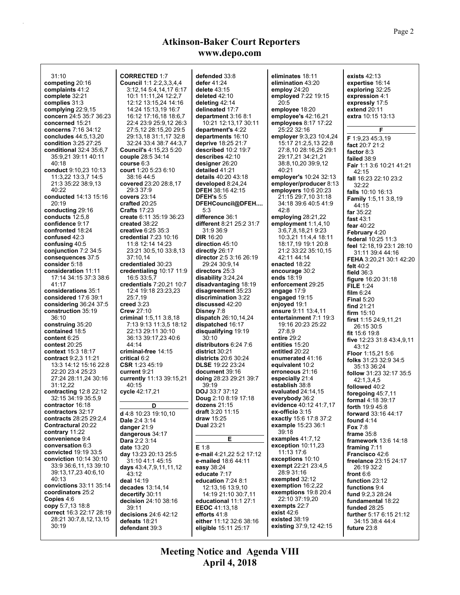| 31:10                                       | <b>CORRECTED 1:7</b>                            | defended 33:8                             | eliminates 18:11                          | exists $42:13$                                           |
|---------------------------------------------|-------------------------------------------------|-------------------------------------------|-------------------------------------------|----------------------------------------------------------|
| competing 20:16                             | <b>Council 1:1 2:2,3,3,4,4</b>                  | defer 41:24                               | elimination 43:20                         | expertise 16:14                                          |
| complaints 41:2                             | 3:12,14 5:4,14,17 6:17                          | delete $43:15$                            | employ $24:20$                            | exploring 32:25                                          |
| complete 32:21                              | 10:1 11:11,24 12:2,7                            | deleted $42:10$                           | employed 7:22 19:15                       | expression 4:1                                           |
| complies 31:3                               | 12:12 13:15,24 14:16                            | deleting $42:14$                          | 20:5                                      | expressly 17:5                                           |
| complying $22:9,15$                         | 14:24 15:13,19 16:7                             | delineated 17:7                           | employee 18:20                            | extend 20:11                                             |
| concern 24:5 35:7 36:23                     | 16:12 17:16,18 18:6,7                           | department $3:168:1$                      | employee's 42:16.21                       | extra 10:15 13:13                                        |
| concerned 15:21<br>concerns 7:16 34:12      | 22:4 23:9 25:9,12 26:3<br>27:5,12 28:15,20 29:5 | 10:21 12:13,17 30:11<br>department's 4:22 | employees $8:17$ 17:22<br>25:22 32:16     | F                                                        |
| concludes 44:5,13,20                        | 29:13,18 31:1,17 32:8                           | departments 16:10                         | employer 9:3,23 10:4,24                   |                                                          |
| condition 3:25 27:25                        | 32:24 33:4 38:7 44:3,7                          | deprive 18:25 21:7                        | 15:17 21:2,5,13 22:8                      | F 1:9,23 45:3,19                                         |
| conditional 32:4 35:6,7                     | <b>Council's 4:15,23 5:20</b>                   | described 10:2 19:7                       | 27:8,10 28:16,25 29:1                     | fact 20:7 21:2<br>factor 8:3                             |
| 35:9,21 39:11 40:11                         | couple 28:5 34:14                               | describes 42:10                           | 29:17,21 34:21,21                         | failed 38:9                                              |
| 40:18                                       | course 6:3                                      | designer 26:20                            | 38:8,10,20 39:9,12                        | Fair 1:1 3:6 10:21 41:21                                 |
| conduct 9:10,23 10:13                       | court 1:20 5:23 6:10                            | detailed 41:21                            | 40:21                                     | 42:15                                                    |
| 11:3,22 13:3,7 14:5                         | 38:16 44:5                                      | details 40:20 43:18                       | employer's 10:24 32:13                    | fall 16:23 22:10 23:2                                    |
| 21:3 35:22 38:9,13                          | covered 23:20 28:8,17                           | developed $8:24,24$                       | employer/producer 8:13                    | 32:22                                                    |
| 40:22                                       | 29:3 37:9                                       | <b>DFEH 38:16 42:15</b>                   | employers 10:6 20:23                      | falls 10:10 16:13                                        |
| conducted 14:13 15:16                       | covers 23:14                                    | <b>DFEH's 5:5</b>                         | 21:15 29:7,10 31:18                       | <b>Family 1:5,11 3:8,19</b>                              |
| 20:19                                       | crafted 20:25                                   | DFEHCouncil@DFEH                          | 34:18 39:6 40:5 41:9                      | 44:15                                                    |
| conducting 29:16                            | <b>Crafts 17:23</b>                             | 5:3                                       | 42:8                                      | far $35:22$                                              |
| conducts $12:5,8$<br>confidence 9:17        | create 6:11 35:19 36:23<br>created 38:22        | difference 36:1                           | employing 28:21,22                        | fast $43:1$                                              |
| confronted 18:24                            | creative 6.25 35:3                              | different 8:21 25:2 31:7<br>31 9 36 9     | employment 1:1,4,10                       | fear $40.22$                                             |
| confused 42:3                               | <b>credential 7:23 10:16</b>                    | <b>DIR 16:20</b>                          | 3:6,7,8,18,219:23<br>10:3,21 11:4,4 18:11 | February 4:20                                            |
| confusing 40:5                              | 11:8 12:14 14:23                                | direction 45:10                           | 18:17,19 19:1 20:8                        | federal 10:25 11:3                                       |
| conjunction 7:2 34:5                        | 23:21 30:5,10 33:8,13                           | directly 26:17                            | 21:2 33:22 35:10,15                       | feel 12:18,19 23:1 28:10                                 |
| consequences 37:5                           | 37:10.14                                        | director 2:5 3:16 26:19                   | 42:11 44:14                               |                                                          |
| consider 5:18                               | credentialed 30:23                              | 29:24 30:9,14                             | enacted 18:22                             | <b>FEHA</b> 3:20,21 30:1 42:20<br>felt $40:2$            |
| consideration 11:11                         | credentialing 10:17 11:9                        | directors 25:3                            | encourage 30:2                            | field $36:3$                                             |
| 17:14 34:15 37:3 38:6                       | 16:5 33:5,7                                     | disability 3:24,24                        | ends 18:19                                | figure $16:2031:18$                                      |
| 41:17                                       | credentials 7:20,21 10:7                        | disadvantaging 18:19                      | enforcement 29:25                         | <b>FILE 1:24</b>                                         |
| considerations 35:1                         | 12:4 19:18 23:23,23                             | disagreement 35:23                        | engage 17:9                               | film $6:24$                                              |
| considered 17:6 39:1                        | 25:7,19                                         | discrimination 3:22                       | engaged $19:15$                           | Final $5:20$                                             |
| considering $36:24$ 37:5                    | creed $3:23$                                    | discussed 42:20                           | enjoyed 19:1                              | find $21:21$                                             |
| construction 35:19                          | <b>Crew 27:10</b>                               | Disney 7:8                                | ensure 9:11 13:4,11                       | firm $15:10$                                             |
| 36:10                                       | criminal $1:5,11,3.8,18$                        | dispatch $26:10,14,24$                    | entertainment 7:1 19:3                    | first $1:1524:9,11,21$                                   |
| construing 35:20<br>contained 18:5          | 7:13 9:13 11:3,5 18:12<br>22:13 29:11 30:10     | dispatched 16:17<br>disqualifying 19:19   | 19:16 20:23 25:22<br>27:8,9               | 26:15 30:5                                               |
| content 6:25                                | 36:13 39:17,23 40:6                             | 30:10                                     | entire 29:2                               | fit 15:6 19:8                                            |
| contest $20:25$                             | 44:14                                           | distributors 6:24 7:6                     | entities 15:20                            | five 12:23 31:8 43:4,9,11                                |
| context 15:3 18:17                          | criminal-free 14:15                             | district 30:21                            | entitled 20:22                            | 43:12                                                    |
| contract 9:2,3 11:21                        | critical 6:2                                    | <b>districts</b> 20:6 30:24               | enumerated 41:16                          | <b>Floor</b> 1:15,21 5:6<br><b>folks</b> 31:23 32:9 34:5 |
| 13:3 14:12 15:16 22:8                       | $CSR$ 1:23 45:19                                | <b>DLSE</b> 19:22 23:24                   | equivalent 10:2                           | 35 13 36 24                                              |
| 22:20 23:4 25:23                            | current 9:21                                    | document 39:16                            | erroneous 21:16                           | follow 31:23 32:17 35:5                                  |
| 27:24 28:11,24 30:16                        | currently 11:13 39:15,21                        | doing 28:23 29:21 39:7                    | especially 21:4                           | 42:1,3,4,5                                               |
| 31:12,22                                    | 40:15                                           | 39:19                                     | establish 38:8                            | followed 40:2                                            |
| contracting 12:8 22:12                      | cycle 42:17,21                                  | <b>DOJ</b> 33:7 37:12                     | evaluated $24:14,15$                      | foregoing $45:7,11$                                      |
| 32:15 34:19 35:5,9                          |                                                 | <b>Doug</b> 2:10 8:19 17:18               | everybody 36:2                            | <b>formal 4:18 39:17</b>                                 |
| contractor 16:18                            | D                                               | dozens 21:15                              | evidence 40:12 41:7,17                    | forth 19:9 45:8                                          |
| contractors 32:17<br>contracts 28:25 29:2,4 | d 4:8 10:23 19:10,10                            | draft 3:20 11:15<br>draw $15:25$          | ex-officio 3:15<br>exactly 15:6 17:8 37:2 | <b>forward</b> 33:16 44:17                               |
| Contractural 20:22                          | Dale 2:4 3:14                                   | <b>Dual 23:21</b>                         | example 15:23 36:1                        | found 4:14                                               |
| contrary 11:22                              | danger $21:9$<br>dangerous 34:17                |                                           | 39:18                                     | <b>Fox 7:8</b>                                           |
| convenience 9:4                             | Dara 2:2 3:14                                   | Е                                         | examples 41:7,12                          | frame $35:8$<br><b>framework</b> 13:6 14:18              |
| conversation 6:3                            | date 13:20                                      | E 1.8                                     | exception 10:11,23                        | framing 7:11                                             |
| convicted 19:19 33:5                        | day 13:23 20:13 25:5                            | e-mail 4:21,22 5:2 17:12                  | 11:13 17:6                                | Francisco 42:6                                           |
| <b>conviction</b> 10:14 30:10               | 31:10 41:1 45:15                                | e-mailed 18:6 44:11                       | exceptions 10:10                          | freelance 23:15 24:17                                    |
| 33:9 36:6,11,13 39:10                       | days 43:4,7,9,11,11,12                          | easy 38:24                                | exempt 22:21 23:4,5                       | 26:19 32:2                                               |
| 39:13,17,23 40:6,10                         | 43:12                                           | educate 7:17                              | 28:9 31:16                                | front 6:6                                                |
| 40:13                                       | deal 14:19                                      | education 7:24 8:1                        | exempted 32:12                            | function 23:12                                           |
| convictions 33:11 35:14                     | decades 13:14,14                                | 12:13.16 13:9.10                          | exemption $16:2,22$                       | functions 9:4                                            |
| coordinators 25:2<br>Copies 4:6             | decertify 30:11                                 | 14:19 21:10 30:7,11                       | exemptions 19:8 20:4<br>22:10 37:19.20    | fund 9:2,3 28:24                                         |
| copy 5:7,13 18:8                            | decision 24:10 38:16                            | educational 11:1 27:1                     | exempts 22:7                              | fundamental 18:22                                        |
| correct 16:3 22:17 28:19                    | 39:11                                           | EEOC 41:13,18                             | exist $42:6$                              | funded 28:25                                             |
| 28:21 30:7,8,12,13,15                       | decisions 24:6 42:12<br>defeats 18:21           | efforts 41:8<br>either 11:12 32:6 38:16   | existed 38:19                             | further 5:17 6:15 21:12<br>34:15 38:4 44:4               |
| 30:19                                       | defendant 39:3                                  | eligible 15:11 25:17                      | existing 37:9,12 42:15                    | future 23:8                                              |
|                                             |                                                 |                                           |                                           |                                                          |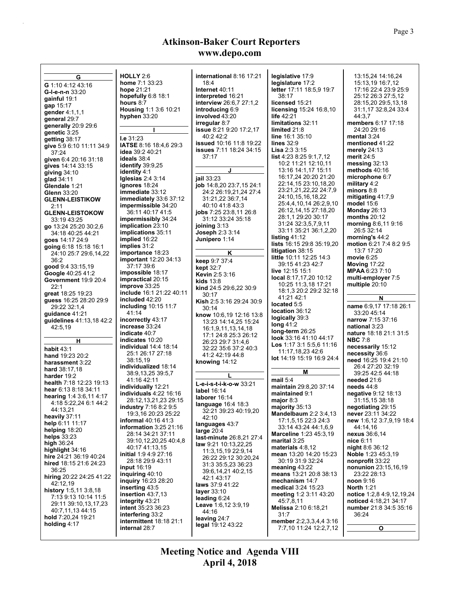| G                        | HOLLY $2.6$                    | international 8:16 17:21       | legislative 17:9                 | 13:15,24 14:16,24           |
|--------------------------|--------------------------------|--------------------------------|----------------------------------|-----------------------------|
| G 1:10 4:12 43:16        | home 7:1 33:23                 | 18:4                           | legislature 17:2                 | 15:13,19 16:7,12            |
| G-I-e-n-n 33:20          | hope 21:21                     | Internet 40:11                 | letter 17:11 18:5,9 19:7         | 17:16 22:4 23:9 25:9        |
|                          | hopefully 6:8 18:1             | interpreted 16:21              | 38:17                            | 25:12 26:3 27:5,12          |
| gainful 19:1             | hours 8:7                      | <b>interview</b> 26:6,7 27:1,2 | licensed 15:21                   | 28:15,20 29:5,13,18         |
| gap 15:17                | Housing 1:1 3:6 10:21          | introducing 6:9                | <b>licensing 15:24 16:8,10</b>   | 31:1,17 32:8,24 33:4        |
| gender 4:1,1,1           | hyphen 33:20                   | involved 43:20                 | life 42:21                       | 44:3.7                      |
| general 29:7             |                                | irregular 8:7                  | limitations 32:11                | members 6:17 17:18          |
| generally 20:9 29:6      |                                |                                |                                  |                             |
| genetic 3:25             | I.                             | <b>issue</b> 8:21 9:20 17:2,17 | limited 21:8                     | 24:20 29:16                 |
| getting 38:17            | I.e. 31:23                     | 40:242:2                       | <b>line</b> $16:135:10$          | mental $3:24$               |
| give 5:9 6:10 11:11 34:9 | <b>IATSE</b> 8:16 18:4,6 29:3  | <b>issued</b> 10:16 11:8 19:22 | lines $32:9$                     | mentioned 41:22             |
| 37:24                    | <b>idea</b> 39:2 40:21         | <b>issues</b> 7:11 18:24 34:15 | <b>Lisa</b> $2.3.3.15$           | merely $24:13$              |
| given 6:4 20:16 31:18    | ideals 38:4                    | 37:17                          | list 4:23 8:25 9:1,7,12          | merit 24:5                  |
| gives 14:14 33:15        | identify $39.9,25$             |                                | 10:2 11:21 12:10,11              | messing $32:13$             |
| giving $34:10$           | <b>identity</b> 4:1            | J                              | 13:16 14:1.17 15:11              | methods $40:16$             |
| glad 34:11               | Iglesias $2.43.14$             | jail 33:23                     | 16:17,24 20:20 21:20             | microphone 6:7              |
|                          |                                | job 14:8,20 23:7,15 24:1       | 22:14,15 23:10,18,20             | military 4:2                |
| Glendale 1:21            | ignores 18:24                  |                                | 23:21,21,22,22 24:7,9            | minors $8:8$                |
| <b>Glenn</b> 33:20       | <b>immediate</b> 33:12         | 24:2 26:19,21,24 27:4          | 24:10,15,16,18,22                | mitigating $41:7,9$         |
| <b>GLENN-LEISTIKOW</b>   | immediately 33.6 37:12         | 31:21,22 36:7,14               |                                  | model $15.6$                |
| 2:11                     | impermissible 34:20            | 40:10:41:8:43:3                | 25:4,4,10,14 26:2,9,10           |                             |
| <b>GLENN-LEISTOKOW</b>   | 36:11 40:17 41:5               | <b>jobs</b> $7:2523:8,1126:8$  | 26:12,14,15 27:18,20             | Monday $26:13$              |
| 33:19 43:25              | impermissibly 34:24            | 31:12 33:24 35:18              | 28:1,1 29:20 30:17               | months $20:12$              |
| go 13:24 25:20 30:2,6    | implication 23:10              | joining $3:13$                 | 31:24 32:3,5,7,9,11              | morning $8.6,11.9:16$       |
| 34:18 40:25 44:21        | implications 35:11             | <b>Joseph 2:3 3:14</b>         | 33:11 35:21 36:1,2,20            | 26:5 32:14                  |
| goes 14:17 24:9          | implied 16:22                  | <b>Junipero</b> 1:14           | listing $41:12$                  | morning's $44:2$            |
| going 6:18 15:18 16:1    | implies 31:2                   |                                | <b>lists</b> 16:15 29:8 35:19,20 | motion 6:21 7:4 8:2 9:5     |
|                          | importance 18:23               | Κ                              | litigation 38:15                 | 13:7 17:20                  |
| 24:10 25:7 29:6,14,22    | <b>important</b> 12:20 34:13   |                                | <b>little</b> 10:11 12:25 14:3   | movie $6.25$                |
| 36:2                     |                                | keep 9:7 37:4                  | 39:15 41:23 42:7                 | Moving 17:22                |
| good 9:4 33:15,19        | 37:17 39:6                     | <b>kept</b> 32:7               | live 12:15 15:1                  | <b>MPAA</b> 6:23 7:10       |
| Google 40:25 41:2        | impossible 18:17               | <b>Kevin 2:5 3:16</b>          | local 8:17,17,20 10:12           |                             |
| Government 19:9 20:4     | impractical 20:15              | kids $13.8$                    |                                  | multi-employer 7:5          |
| 22:1                     | improve 33:25                  | kind 24:5 29:6,22 30:9         | 10:25 11:3,18 17:21              | multiple 20:10              |
| great 18:25 19:23        | include 16:1 21:22 40:11       | 30:17                          | 18:1,3 20:2 29:2 32:18           |                             |
| guess 16:25 28:20 29:9   | included 42:20                 | Kish 2:5 3:16 29:24 30:9       | 41:21 42:1                       | N                           |
| 29:22 32:1,4             | <b>including 10:15 11:7</b>    | 30:14                          | located 5:5                      | name 6.9,17 17:18 26:1      |
| guidance 41:21           | 41:14                          | know 10:6,19 12:16 13:8        | location 36:12                   | 33:20 45:14                 |
| guidelines 41:13,18 42:2 | incorrectly 43:17              |                                | logically 39:3                   | narrow 7:15 37:16           |
|                          | increase 33:24                 | 13:23 14:14,25 15:24           | long $41:2$                      | national 3:23               |
| 42:5,19                  | indicate 40:7                  | 16:1,9,11,13,14,18             | long-term 26:25                  | nature 18:18 21:1 31:5      |
|                          |                                | 17:1 24:8 25:3 26:12           | look 33:16 41:10 44:17           | <b>NBC 7:8</b>              |
| н                        | indicates 10:20                | 26:23 29:7 31:4,6              | <b>Los</b> 1:17 3:1 5:5,6 11:16  |                             |
| <b>habit 43:1</b>        | <b>individual</b> 14:4 18:14   | 32:22 35:6 37:2 40:3           | 11:17,18,23 42:6                 | necessarily 15:12           |
| hand 19:23 20:2          | 25:1 26:17 27:18               | 41 2 42 19 44 8                | lot 14:19 15:19 16:9 24:4        | necessity 36:6              |
| harassment 3:22          | 38:15,19                       | knowing 14:12                  |                                  | need 16:25 19:4 21:10       |
| hard 38:17,18            | individualized 18:14           |                                |                                  | 26:4 27:20 32:19            |
| harder 19:2              | 38.9, 13, 25 39: 5, 7          |                                | Μ                                | 39:25 42:5 44:18            |
| health 7:18 12:23 19:13  | 41:16 42:11                    | L-e-i-s-t-i-k-o-w 33:21        | mail $5:4$                       | needed 21:6                 |
| hear 6:13 8:18 34:11     | individually 12:21             |                                | maintain 29:8,20 37:14           | needs $44:8$                |
|                          | individuals $4:22$ 16:16       | label 16:14                    | maintained 9:1                   | negative 9:12 18:13         |
| hearing 1.4 3.6, 11 4:17 | 28:12,13,21,23 29:15           | laborer 16:14                  | major $8:3$                      | 31:15,15 38:18              |
| 4:18 5:22,24 6:1 44:2    | industry 7:16 8:2 9:5          | language 16:4 18:3             | majority $35:13$                 | negotiating 29:15           |
| 44:13,21                 | 19:3.16 20:23 25:22            | 32:21 39:23 40:19,20           | <b>Mandelbaum 2:2 3:4,13</b>     | never 23:11 34:22           |
| heavily 37:11            | <b>informal</b> 40:16 41:3     | 42:10                          | 17:1,5,15 22:3 24:3              | new 1.6,12 3:7,9,19 18:4    |
| help 6:11 11:17          | information $3:25$ 21:16       | languages 43:7                 | 33:14 43:24 44:1.6.9             | 44:14.16                    |
| helping 18:20            |                                | large $20:4$                   |                                  |                             |
| helps $33:23$            | 28:14 34:21 37:11              | last-minute 26.8.21 27.4       | <b>Marceline 1:23 45:3,19</b>    | nexus 36:6,14               |
| high $36:24$             | 39:10,12,20,25 40:4,8          | law 9:21 10:13,22,25           | marital $3:25$                   | nice 6:11                   |
| highlight 34:16          | 40:17 41:13,15                 | 11:3,15,19 22:9,14             | materials 4:8.12                 | <b>night</b> 8:6 36:12      |
| hire 24:21 36:19 40:24   | <b>initial</b> 1:9 4:9 27:16   | 26:22 29:12 30:20,24           | mean 13:20 14:20 15:23           | Noble 1:23 45:3,19          |
| hired 18:15 21:6 24:23   | 28:18 29:9 43:11               | 31:3 35:5,23 36:23             | 30:19 31:9 32:24                 | nonprofit 33:22             |
| 36:25                    | input $16:19$                  | 39:6,14,21 40:2,15             | meaning $43:22$                  | <b>nonunion</b> 23:15,16,19 |
| hiring 20:22 24:25 41:22 | inguiring 40:10                |                                | means 13:21 20:8 38:13           | 23:22 28:13                 |
| 42:12,19                 | <b>inquiry</b> 16:23 28:20     | 42:1 43:17                     | mechanism 14:7                   | noon $9:16$                 |
|                          | inserting 43:5                 | laws 37:9 41:22                | <b>medical 3:24 15:23</b>        | <b>North 1:21</b>           |
| history 1:5,11 3:8,18    | insertion 43:7,13              | layer 33:10                    | meeting 1:2 3:11 43:20           | notice 1:2,8 4:9,12,19,24   |
| 7:13 9:13 10:14 11:5     | <b>integrity</b> 43:21         | leading $6:24$                 | 45:7,8,11                        | noticed 4:18,21 34:17       |
| 29:11 39:10,13,17,23     | <b>intent</b> 35:23 36:23      | <b>Leave</b> $1:6,12,3:9,19$   | <b>Melissa</b> 2:10 6:18,21      | number 21:8 34:5 35:16      |
| 40:7,11,13 44:15         | interfering 33:2               | 44:16                          | 31:7                             | 36:24                       |
| hold 7:20,24 19:21       | <b>intermittent</b> 18:18 21:1 | leaving 24:7                   | member 2:2,3,3,4,4 3:16          |                             |
| holding $4:17$           | internal 28:7                  | legal 19:12 43:22              | 7:7,10 11:24 12:2,7,12           |                             |
|                          |                                |                                |                                  | O                           |
|                          |                                |                                |                                  |                             |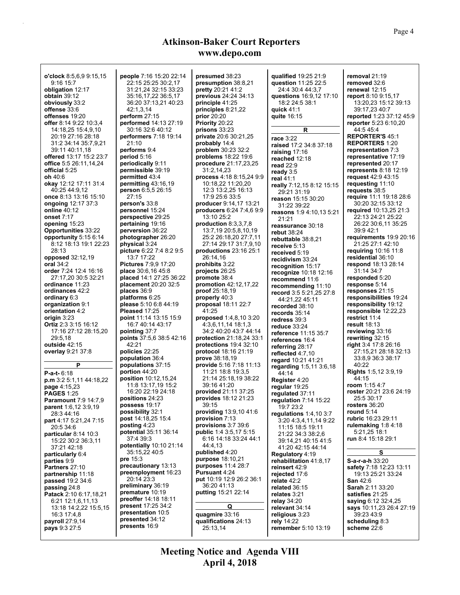| o'clock 8:5,6,9 9:15,15                  | people 7:16 15:20 22:14                           | presumed 38:23                                | qualified 19:25 21:9                             | removal 21:19                               |
|------------------------------------------|---------------------------------------------------|-----------------------------------------------|--------------------------------------------------|---------------------------------------------|
| 9:1615:7                                 | 22:15 25:25 30:2,17                               | presumption 38:8,21                           | question 11:25 22:5                              | removed 32:6                                |
| obligation 12:17                         | 31:21,24 32:15 33:23                              | <b>pretty</b> 20:21 41:2                      | 24:4 30:4 44:3.7                                 | renewal 12:15                               |
| <b>obtain</b> 39:12                      | 35:16,17,22 36:5,17<br>36:20 37:13.21 40:23       | <b>previous</b> 24:24 34:13                   | questions 16:9,12 17:10                          | report 8:10 9:15,17                         |
| obviously 33:2<br><b>offense</b> 33:6    | 42:1,3,14                                         | principle 41:25<br>principles $8:21,22$       | 18:2 24:5 38:1<br>quick $41:1$                   | 13:20,23 15:12 39:13<br>39:17.23 40:7       |
| <b>offenses</b> 19:20                    | perform $27:15$                                   | prior $20:20$                                 | quite 16:15                                      | <b>reported</b> 1:23 37:12 45:9             |
| <b>offer</b> 8:14 9:22 10:3,4            | performed 14:13 27:19                             | <b>Priority 20:22</b>                         |                                                  | <b>reporter</b> 5:23 6:10,20                |
| 14:18,25 15:4,9,10                       | 30:16 32:6 40:12                                  | prisons 33:23                                 | R                                                | 44 5 45 4                                   |
| 20:19 27:16 28:18                        | <b>performers</b> 7:18 19:14                      | <b>private</b> 20:6 30:21,25                  | race 3:22                                        | <b>REPORTER'S 45:1</b>                      |
| 31:2 34:14 35:7,9,21                     | 21:10                                             | probably 14:4                                 | raised 17:2 34:8 37:18                           | <b>REPORTERS 1:20</b>                       |
| 39:11 40:11,18                           | performs 9:4                                      | problem 30:23 32:2                            | raising $17:16$                                  | representation 7:3                          |
| <b>offered</b> 13:17 15:2 23:7           | period 5:16                                       | <b>problems</b> 18:22 19:6                    | reached 12:18                                    | <b>representative 17:19</b>                 |
| <b>office</b> 5:5 26:11,14,24            | periodically 9:11                                 | procedure 21:17,23,25                         | read $22:9$                                      | represented 20:17                           |
| official 5:25<br><b>oh</b> 40:6          | permissible 39:19                                 | 31:2,14,23                                    | ready $3:5$                                      | represents $8:18$ 12:19                     |
| <b>okay</b> 12:12 17:11 31:4             | permitted 43:4<br>permitting 43:16,19             | process 4:18 8:15,24 9:9<br>10:18,22 11:20,20 | real 41:1                                        | <b>request</b> 42:9 43:15                   |
| 40:25 44:9,12                            | <b>person</b> 6:5,5 26:15                         | 12:3 13:2,25 16:13                            | really 7:12,15 8:12 15:15                        | requesting 11:10<br>requests 38:5           |
| <b>once</b> 8:13 13:16 15:10             | 27:15                                             | 17:9 25:6 33:5                                | 29:21 31:19                                      | require 11:1 19:18 28:6                     |
| ongoing 12:17 37:3                       | person's 33:8                                     | <b>producer</b> 9:14,17 13:21                 | reason 15:15 30:20<br>31:22 39:22                | 30:20 32:15 33:12                           |
| <b>online</b> 40:12                      | personnel 15:24                                   | producers 6:24 7:4,6 9:9                      | reasons 1:9 4:10,13 5:21                         | <b>required</b> 10:13,25 21:3               |
| onset 7:17                               | perspective 29:25                                 | 13:10 25:2                                    | 21:21                                            | 22:13 24:21 25:22                           |
| opening 15:23                            | pertaining 19:16                                  | production 8:3,3,7,8                          | reassurance 30:18                                | 26:22 30:6,11 35:25                         |
| <b>Opportunities</b> 33:22               | perversion 36:22                                  | 13:7,19 20:5,8,10,19                          | rebut 38:24                                      | 39:942:1                                    |
| opportunity 5:15 6:14                    | photographer 26:20                                | 25:2 26:18,20 27:7,11                         | rebuttable 38:8,21                               | requirements 19:9 20:16                     |
| 8:12 18:13 19:1 22:23                    | physical 3:24                                     | 27:14 29:17 31:7,9,10                         | receive 5:13                                     | 21:25 27:1 42:10                            |
| 28:13<br>opposed 32:12,19                | picture 6:22 7:4 8:2 9:5<br>13:7 17:22            | productions $23:16$ $25:1$<br>26:14.16        | received 5:19                                    | requiring $10.16$ 11:8<br>residential 36:10 |
| oral 34:2                                | <b>Pictures</b> 7:9,9 17:20                       | prohibits 3:22                                | recidivism 33:24                                 | <b>respond</b> 18:13 28:14                  |
| <b>order</b> 7:24 12:4 16:16             | place 30:6,16 45:8                                | projects 26:25                                | recognition 15:17                                | 31:14 34:7                                  |
| 27:17,20 30:5 32:21                      | placed 14:1 27:25 36:22                           | promote 38:4                                  | recognize 10:18 12:16<br>recommend 11:6          | responded 5:20                              |
| ordinance 11:23                          | placement 20:20 32:5                              | <b>promotion</b> 42:12,17,22                  | recommending 11:10                               | response 5:14                               |
| ordinances 42:2                          | places 36:9                                       | <b>proof</b> $25:18,19$                       | record 3:5 5:21,25 27:8                          | responses 21:15                             |
| ordinary 6:3                             | platforms 6:25                                    | properly 40:3                                 | 44:21,22 45:11                                   | responsibilities 19:24                      |
| organization 9:1                         | please 5:10 6:8 44:19                             | proposal 18:11 22:7                           | recorded 38:10                                   | responsibility 19:12                        |
| orientation 4:2<br>origin 3:23           | Pleased 17:25<br>point 11:14 13:15 15:9           | 41:25<br><b>proposed</b> 1:4,8,10 3:20        | records $35:14$                                  | responsible 12:22,23<br>restrict 11:4       |
| Ortiz 2:3 3:15 16:12                     | 16:7 40:14 43:17                                  | 4:3,6,11,14 18:1,3                            | redress 39:3                                     | result 18:13                                |
| 17:16 27:12 28:15,20                     | pointing 37:7                                     | 34:2 40:20 43:7 44:14                         | reduce $33:24$<br><b>reference</b> 11:15 35:7    | reviewing 33:16                             |
| 29:5,18                                  | points 37:5,6 38:5 42:16                          | <b>protection</b> 21:18,24 33:1               | references 16:4                                  | rewriting 32:15                             |
| <b>outside</b> 42:15                     | 42:21                                             | protections $19.4$ 32:10                      | referring 28:17                                  | right 3.4 17:8 26:16                        |
| overlay 9:21 37:8                        | policies 22:25                                    | <b>protocol</b> 18:16 21:19                   | reflected $4:7,10$                               | 27:15,21 28:18 32:13                        |
|                                          | population 36:4                                   | <b>prove</b> 38:18,19                         | regard 10:21 41:21                               | 33 8,9 36 3 38 17                           |
| P                                        | populations 37:15                                 | <b>provide</b> 5:16 7:18 11:13                | regarding 1:5,11 3:6,18                          | 40:22                                       |
| <b>P-a-t-</b> 6:18                       | portion 44:20                                     | 11:21 18:8 19:3,5<br>21:14 25:18,19 38:22     | 44:14                                            | Rights 1:5,12 3:9,19<br>44:15               |
| p.m 3:2 5:1,11 44:18,22                  | <b>position</b> 10:12,15,24<br>11:8 13:17,19 15:2 | 39:16 41:20                                   | Register 4:20                                    | room 1:15 4:7                               |
| <b>page</b> 4:15,23<br><b>PAGES 1:25</b> | 16:20 22:19 24:18                                 | provided 21:11 37:25                          | regular 19:25                                    | roster 20:21 23:6 24:19                     |
| <b>Paramount 7:9 14:7.9</b>              | positions 24:23                                   | <b>provides</b> 18:12 21:23                   | regulated 37:11<br>regulation 7:14 15:22         | 25:5 30:17                                  |
| parent 1:6,12 3:9,19                     | possess 19:17                                     | 39:15                                         | 19:7 23:2                                        | rosters $36:20$                             |
| 28:3 44:16                               | possibility 32:1                                  | providing 13:9,10 41:6                        | regulations $1.4, 10.3.7$                        | round $5:14$                                |
| part 4:17 5:21,24 7:15                   | post 14:18,25 15:4                                | provision 7:13                                | 3:20 4:3,4,11,14 9:22                            | rubric 16:23 29:11                          |
| 20:5 34:6                                | posting $4:23$                                    | provisions 3:7 39:6                           | 11:15 18:5 19:11                                 | rulemaking 1:8 4:18                         |
| particular 8:14 10:3                     | potential 35:11 36:14                             | <b>public</b> 1:4 3:5,17 5:15                 | 21:22 34:3 38:2,6                                | 5 21 25 18 1                                |
| 15:22 30:2 36:3.11                       | 37:4 39:3<br>potentially 10:10 21:14              | 6:16 14:18 33:24 44:1<br>44:4.13              | 39:14,21 40:15 41:5                              | <b>run</b> 8:4 15:18 29:1                   |
| 37:21 42:18                              | 35:15,22 40:5                                     | published 4:20                                | 41 20 42 15 44 14                                | s                                           |
| particularly 6:4<br>parties 9:9          | pre 15:3                                          | <b>purpose</b> 18:10,21                       | <b>Regulatory 4:19</b><br>rehabilitation 41:8,17 | S-a-r-a-h 33:20                             |
| Partners 27:10                           | precautionary 13:13                               | purposes 11:4 28:7                            | reinsert 42:9                                    | safety 7:18 12:23 13:11                     |
| partnership 11:18                        | preemployment 16:23                               | <b>Pursuant 4:24</b>                          | rejected 17:6                                    | 19:13 25:21 33:24                           |
| <b>passed</b> 19:2 34:6                  | 20:14 23:3                                        | put 10:19 12:9 26:2 36:1                      | relate $42:2$                                    | <b>San 42:6</b>                             |
| passing 24:8                             | preliminary 36:19                                 | 36:20 41:13                                   | related 36:15                                    | Sarah 2:11 33:20                            |
| Patack 2:10 6:17,18,21                   | premature 10:19                                   | <b>putting 15:21 22:14</b>                    | relates 3:21                                     | satisfies 21:25                             |
| 6:21 12:1,6,11,13                        | <b>preoffer</b> 14:18 18:11                       |                                               | relay 34:20                                      | saying 6:12 32:4,25                         |
| 13:18 14:2,22 15:5,15                    | <b>present</b> 17:25 34:2<br>presentation 10:5    | Q                                             | relevant 34:14                                   | says 10.11,23 26:4 27:19                    |
| 16:3 17:4,8                              | presented 34:12                                   | quagmire 33:16                                | religious 3:23                                   | 39:23 43:9                                  |
| payroll 27:9,14<br>pays 9:3 27:5         | presents 16:9                                     | qualifications 24:13                          | rely 14:22<br><b>remember</b> 5:10 13:19         | scheduling 8:3<br>scheme 22:6               |
|                                          |                                                   | 25:13,14                                      |                                                  |                                             |
|                                          |                                                   |                                               |                                                  |                                             |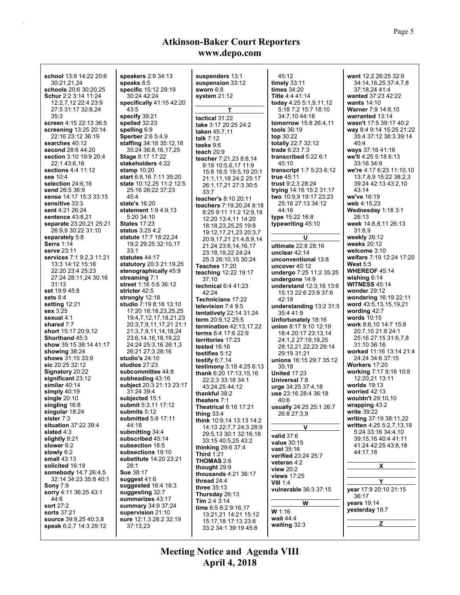| school 13.9 14.22 20:6          | speakers 2:9 34:13              | suspenders 13:1               | 45:12                        | want 12:2 26:25 32:9      |
|---------------------------------|---------------------------------|-------------------------------|------------------------------|---------------------------|
| 30:21,21,24                     | speaks $6:5$                    | suspension 33:12              | timely 33:11                 | 34:14,16,25 37:4,7,8      |
| schools 20:6 30:20.25           | specific 15:12 29:19            | sworn $6:8$                   | times $34:20$                | 37:18,24 41:4             |
|                                 | 30:24 42:24                     |                               | <b>Title 4:4 41:14</b>       | wanted 37:23 42:22        |
| <b>Schur</b> 2:2 3:14 11:24     |                                 | system 21:12                  |                              |                           |
| 12:2,7,12 22:4 23:9             | specifically $41:15$ $42:20$    |                               | today 4:25 5:1,9,11,12       | wants $14:10$             |
| 27:5 31:17 32:8,24              | 43.5                            | Τ                             | 5:18 7:2 15:7 18:10          | <b>Warner 7:9 14:8,10</b> |
| 35:3                            | specify 39:21                   | tactical 31:22                | 34:7.10 44:18                | warranted 13:14           |
| screen 4:15 22:13 36:5          | spelled 32:23                   | take 3:17 20:25 24:2          | <b>tomorrow</b> 15:8 26:4,11 | wasn't 17:5 39:17 40:2    |
| screening 13:25 20:14           | spelling 6:9                    | taken 45:7,11                 | tools $36:19$                | way 8.4 9:14 15:25 21:22  |
| 22:16 23:12 36:19               | <b>Sperber</b> 2:6 5:4,9        | talk $7:12$                   | top $30:22$                  | 35:4 37:12 38:3 39:14     |
| searches 40:12                  | <b>staffing</b> 34:18 35:12,18  |                               | totally 22:7 32:12           | 40.4                      |
| second 28:6 44:20               | 35:24 36:8,16,17,25             | tasks 9:6                     | trade 6:23 7:3               | ways 37:16 41:16          |
| section 3:10 19:9 20:4          | Stage 8:17 17:22                | teach $20.9$                  | transcribed 5:22 6:1         | we'll 4:25 5:18 6:13      |
|                                 |                                 | teacher 7:21,23 8:8,14        | 45:10                        | 33:16 34:9                |
| 22:143:6,16                     | stakeholders 4:22               | 9:18 10:5,6,17 11:9           |                              |                           |
| <b>sections 4:4 11:12</b>       | stamp $10:20$                   | 15:8 16:5 19:5,19 20:1        | transcript 1:7 5:23 6:12     | we're 4:17 6:23 11:10.10  |
| see 10:4                        | <b>start</b> 6:8,16 7:11 35:20  | 21:1,11,18 24:2 25:17         | true $45:11$                 | 13:7.8.9 15:22 38:2.3     |
| selection $24:6,16$             | <b>state</b> 10:12,25 11:2 12:5 | 26:1,17,21 27:3 30:5          | trust 9:2,3 28:24            | 39:24 42:13 43:2,10       |
| send 26:5 36:9                  | 25:16 26:22 37:23               | 33:7                          | trying 14:16 15:2 31:17      | 43:14                     |
| sense 14:17 15:3 33:15          | 45:4                            | teacher's 8:10 20:11          | two 10.9,9 19:17 23:23       | we've 16:19               |
| sensitive 33:3                  | state's 16:20                   | teachers 7:19,20,24 8:18      | 25:18 27:13 34:12            | web 4:15,23               |
| sent 4:21 26:24                 | <b>statement</b> 1:9 4:9,13     | 8:25 9:11 11:2 12:9,19        | 44:16                        | Wednesday 1:18 3:1        |
| <b>sentence</b> 43:8,21         | 5:20 34:10                      |                               | type 15:22 16:8              | 26:13                     |
| separate 23:20,21 25:21         | <b>States 17:23</b>             | 12:20 13:4,11 14:20           | typewriting 45:10            | week 14:8,8,11 26:13      |
| 26.9.9 30:22 31:10              | <b>status</b> 3:25 4:2          | 18:18,23,25,25 19:8           |                              | 31:8.9                    |
|                                 |                                 | 19:12, 17, 21, 23 20:3, 7     |                              |                           |
| separately 5:8                  | statute 17:7 18:22,24           | 20:9,17,21 21:4,8,9,14        | U                            | weekly $26:12$            |
| <b>Serra</b> 1:14               | 19:2 29:25 32:10,17             | 21:24 23:6,14,16,17           | ultimate 22:8 28:16          | weeks 20:12               |
| serve 23:11                     | 33:1                            | 23:18,19,22 24:24             | unclear 42:14                | welcome $3:10$            |
| <b>services</b> 7:1 9:2,3 11:21 | statutes 44:17                  | 25:3 26:10,15 30:24           | unconventional 13:8          | welfare 7:19 12:24 17:20  |
| 13:3 14:12 15:16                | statutory 20:3 21:19.25         | Teaches 17:20                 | uncover $40:12$              | West $5.5$                |
| 22:20 23:4 25:23                | stenographically 45:9           | teaching 12:22 19:17          | undergo 7:25 11:2 35:25      | <b>WHEREOF 45:14</b>      |
| 27:24 28:11,24 30:16            | streaming 7:1                   | 37:10                         | undergone 14:9               | wishing $6:14$            |
| 31:13                           | street 1:16 5:6 36:12           | technical $6.441:23$          | understand 12:3,16 13:6      | <b>WITNESS 45:14</b>      |
| set 19:9 45:8                   | stricter 42:5                   |                               |                              | wonder $29:12$            |
| sets $8:4$                      | strongly 12:18                  | 42:24                         | 15:13 22:6 23:9 37:6         | wondering 16:19 22:11     |
|                                 | <b>studio</b> 7:19 8:18 13:10   | Technicians 17:22             | 42:18                        | word 43:5,13,15,19,21     |
| setting 12:21                   |                                 | television 7:4 9:5            | understanding 13:2 31:5      |                           |
| sex 3:25                        | 17:20 18:18,23,25,25            | tentatively 22:14 31:24       | 35:441.9                     | wording $42:7$            |
| sexual 4:1                      | 19:4,7,12,17,18,21,23           | term 20:9,12 25:5             | Unfortunately 18:16          | words $10:15$             |
| shared 7:7                      | 20:3,7,9,11,17,21 21:1          | termination $42:13,17,22$     | union 8:17 9:10 12:19        | work 8:6,10 14:7 15:8     |
| short 15:17 20:9,12             | 21:3,7,9,11,14,18,24            | terms 6:4 17:6 22:9           | 18:4 20:17 23:13,14          | 20:7,10 21:8 24:1         |
| <b>Shorthand 45:3</b>           | 23:6,14,16,18,19,22             | territories 17:23             | 24:1,2 27:19,19,25           | 25:16 27:15 31:6,7,8      |
| show 35:15 38:14 41:17          | 24:24 25:3,16 26:1,3            | tested 16:16                  | 28:12,21,22,23 29:14         | 31:10 36:16               |
| showing 38:24                   | 26:21 27:3 28:16                | testifies 5:12                | 29:19 31:21                  | worked 11:16 13:14 21:4   |
| shows 31:15 33:9                | studio's 24:10                  |                               |                              | 24:24 34:6 37:15          |
| sic 20:25 32:12                 | studios $27:23$                 | testify $6.7,14$              | unions 16:15 29:7 35:12      | Workers 17:20             |
| Signatory 20:22                 | subcommittee 44:8               | testimony 3:18 4:25 6:13      | 35:18                        | working 7:17 9:18 10:8    |
|                                 |                                 | thank 6:20 17:13,15,16        | <b>United 17:23</b>          |                           |
| significant 23:12               | subheading 43:16                | 22:2,3 33:18 34:1             | Universal 7:8                | 12:20,21 13:11            |
| similar $40:14$                 | subject 20:3 21:13 23:17        | 43:24,25 44:12                | urge 34:25 37:4.18           | worlds $19:13$            |
| simply 40:19                    | 31:24 39 4                      | thankful 38:2                 | use 23:16 28:4 36:18         | worried $42:13$           |
| single 20:10                    | subjected 15:1                  | theaters 7:1                  | 40:6                         | wouldn't 29:10,10         |
| singling 16:8                   | submit 5:3,11 17:12             | T <b>heatrical</b> 8:16 17:21 | usually 24:25 25:1 26:7      | wrapping 43:2             |
| singular 18:24                  | submits 5:12                    | thing $33.4$                  | 26:8 27:3,9                  | write 39:22               |
| sister 7:3                      | <b>submitted 5:8 17:11</b>      | think 10.9.14 13:13 14:2      |                              | writing 37:19 38:11,22    |
| situation 37:22 39:4            | 44:18                           | 14:13 22:7,7 24:3 28:9        | v                            | written 4:25 5:2,7,13,19  |
| slated 4:3                      | submitting 34:4                 | 29:5,13 30:1 32:16,18         |                              | 5:24 33:16 34:4,10        |
| slightly 8:21                   | subscribed 45:14                |                               | valid 37:6                   | 39:15,16 40:4 41:11       |
| slower 6:2                      | subsection 18:5                 | 33:15 40:5,25 43:2            | value 30:15                  | 41:24 42:25 43:8,18       |
| slowly 6:2                      | subsections 19:10               | thinking $29.637.4$           | vast 35:16                   | 44:17.18                  |
| small $43:13$                   | <b>substitute</b> 14:20 23:21   | <b>Third 1:21</b>             | verified 23:24 25:7          |                           |
|                                 |                                 | <b>THOMAS 2:6</b>             | veteran 4:2                  |                           |
| solicited 16:19                 | 28:1                            | thought 29:9                  | view 20:2                    | X                         |
| somebody 14:7 26:4,5            | <b>Sue 38:17</b>                | thousands 4:21 36:17          | <b>views</b> 17:25           |                           |
| 32:14 34:23 35:8 40:1           | suggest 41:6                    | thread 24:4                   | <b>VIII 1:4</b>              | Y                         |
| <b>Sony 7:9</b>                 | suggested $16.4$ 18:3           | three 35:13                   | vulnerable 36:3 37:15        | year 17:9 20:10 21:15     |
| sorry 4:11 36:25 43:1           | suggesting 32:7                 | Thursday 26:13                |                              |                           |
| 44:6                            | summarizes 43:17                | Tim 2:4 3:14                  |                              | 36:17                     |
| sort 27:2                       | <b>summary</b> 34.9 37:24       | time 6:5 8:2 9:16,17          | W                            | years 19:14               |
| <b>sorts</b> 37:21              | supervision 21:10               |                               | W 1:16                       | yesterday 18:7            |
| source 39:9,25 40:3,8           | sure 12:1,3 28:2 32:19          | 13:21,21 14:21 15:12          | wait 44:4                    |                           |
| speak 6:2,7 14:3 29:12          | 37:13,23                        | 15:17,18 17:13 23:8           | waiting 32:3                 | z                         |
|                                 |                                 | 33:2 34:1 39:19 45:8          |                              |                           |

 **April 4, 2018 Meeting Notice and Agenda VIII**